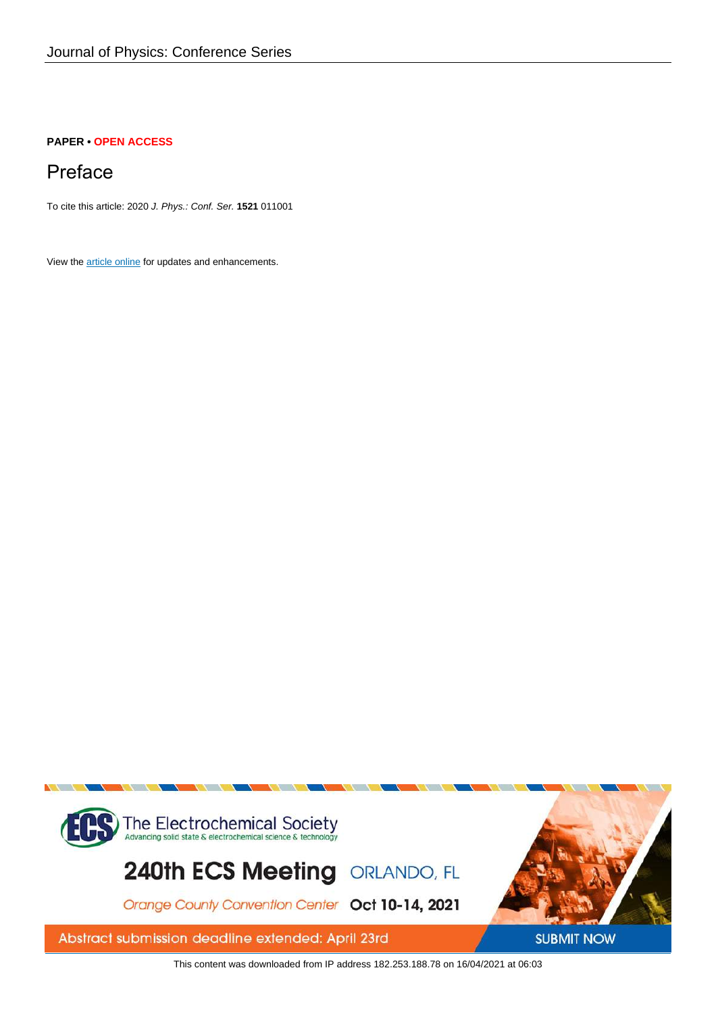# **PAPER • OPEN ACCESS**

# Preface

To cite this article: 2020 J. Phys.: Conf. Ser. **1521** 011001

View the [article online](https://doi.org/10.1088/1742-6596/1521/1/011001) for updates and enhancements.



This content was downloaded from IP address 182.253.188.78 on 16/04/2021 at 06:03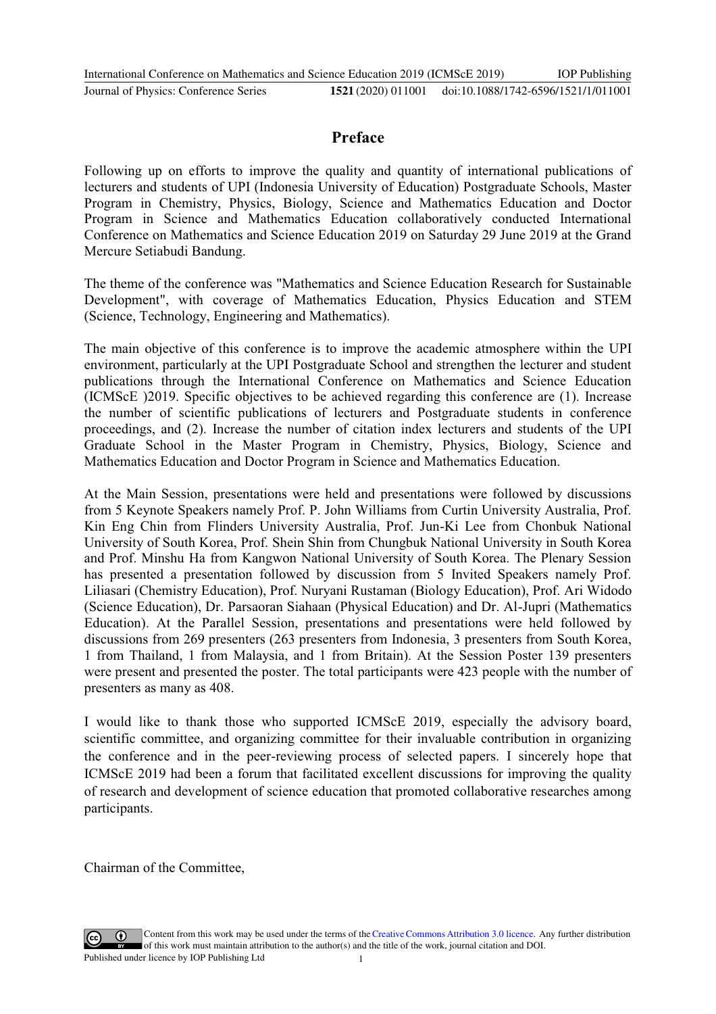# **Preface**

Following up on efforts to improve the quality and quantity of international publications of lecturers and students of UPI (Indonesia University of Education) Postgraduate Schools, Master Program in Chemistry, Physics, Biology, Science and Mathematics Education and Doctor Program in Science and Mathematics Education collaboratively conducted International Conference on Mathematics and Science Education 2019 on Saturday 29 June 2019 at the Grand Mercure Setiabudi Bandung.

The theme of the conference was "Mathematics and Science Education Research for Sustainable Development", with coverage of Mathematics Education, Physics Education and STEM (Science, Technology, Engineering and Mathematics).

The main objective of this conference is to improve the academic atmosphere within the UPI environment, particularly at the UPI Postgraduate School and strengthen the lecturer and student publications through the International Conference on Mathematics and Science Education (ICMScE )2019. Specific objectives to be achieved regarding this conference are (1). Increase the number of scientific publications of lecturers and Postgraduate students in conference proceedings, and (2). Increase the number of citation index lecturers and students of the UPI Graduate School in the Master Program in Chemistry, Physics, Biology, Science and Mathematics Education and Doctor Program in Science and Mathematics Education.

At the Main Session, presentations were held and presentations were followed by discussions from 5 Keynote Speakers namely Prof. P. John Williams from Curtin University Australia, Prof. Kin Eng Chin from Flinders University Australia, Prof. Jun-Ki Lee from Chonbuk National University of South Korea, Prof. Shein Shin from Chungbuk National University in South Korea and Prof. Minshu Ha from Kangwon National University of South Korea. The Plenary Session has presented a presentation followed by discussion from 5 Invited Speakers namely Prof. Liliasari (Chemistry Education), Prof. Nuryani Rustaman (Biology Education), Prof. Ari Widodo (Science Education), Dr. Parsaoran Siahaan (Physical Education) and Dr. Al-Jupri (Mathematics Education). At the Parallel Session, presentations and presentations were held followed by discussions from 269 presenters (263 presenters from Indonesia, 3 presenters from South Korea, 1 from Thailand, 1 from Malaysia, and 1 from Britain). At the Session Poster 139 presenters were present and presented the poster. The total participants were 423 people with the number of presenters as many as 408.

I would like to thank those who supported ICMScE 2019, especially the advisory board, scientific committee, and organizing committee for their invaluable contribution in organizing the conference and in the peer-reviewing process of selected papers. I sincerely hope that ICMScE 2019 had been a forum that facilitated excellent discussions for improving the quality of research and development of science education that promoted collaborative researches among participants.

Chairman of the Committee,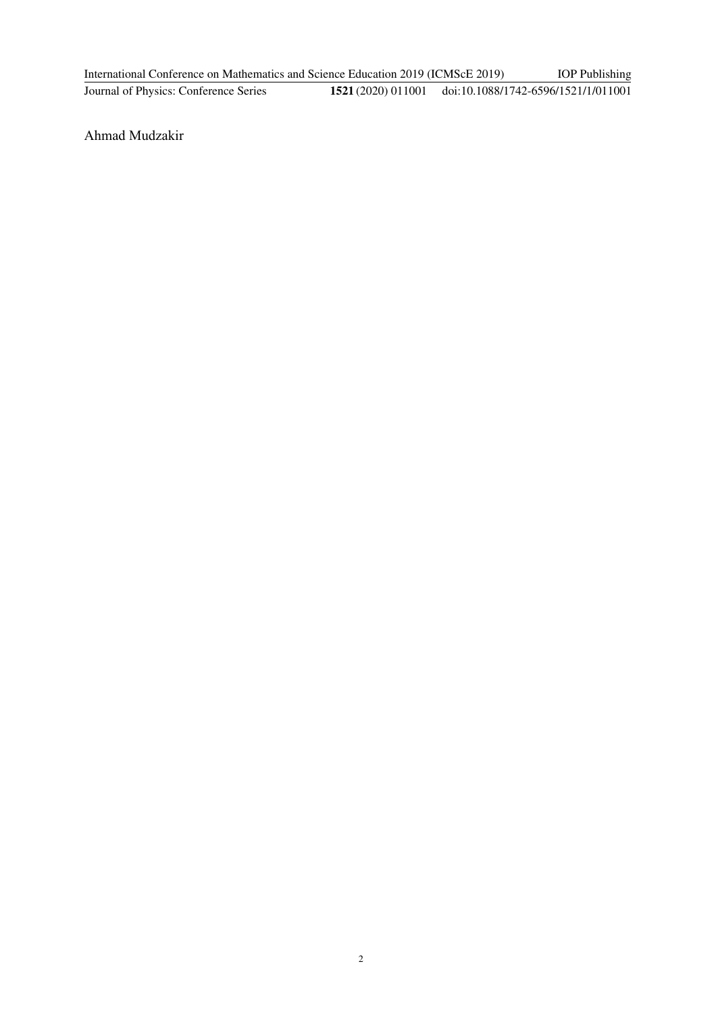| International Conference on Mathematics and Science Education 2019 (ICMScE 2019) |                    | <b>IOP</b> Publishing               |
|----------------------------------------------------------------------------------|--------------------|-------------------------------------|
| Journal of Physics: Conference Series                                            | 1521 (2020) 011001 | doi:10.1088/1742-6596/1521/1/011001 |

Ahmad Mudzakir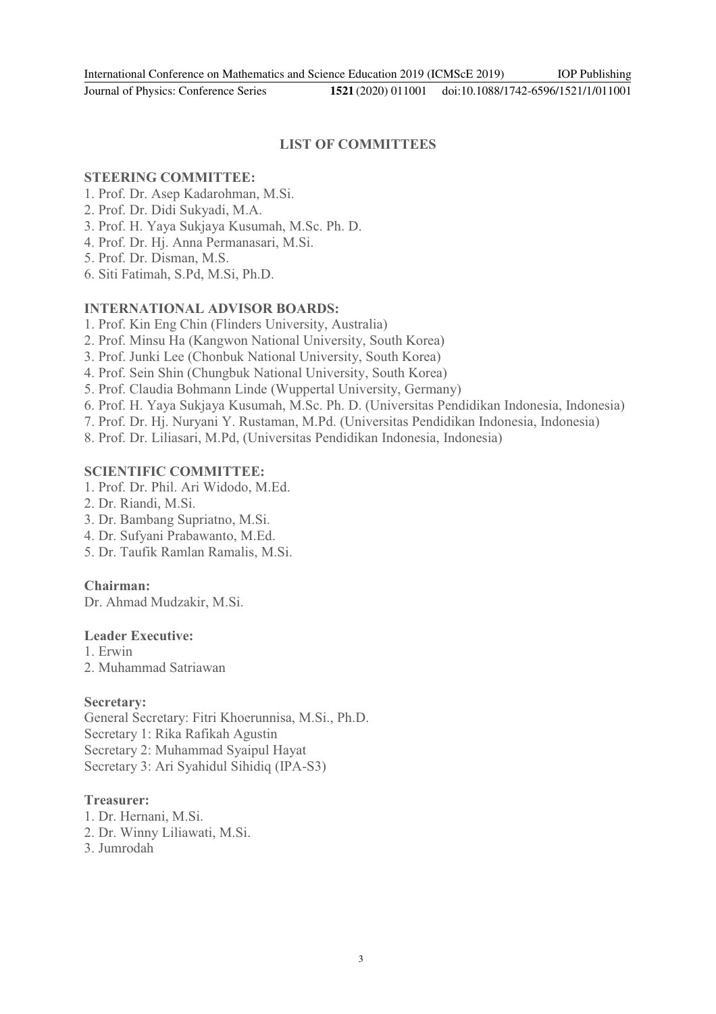International Conference on Mathematics and Science Education 2019 (ICMScE 2019) **Journal of Physics: Conference Series** IOP Publishing 1521 (2020) 011001 doi:10.1088/1742-6596/1521/1/011001

# **LIST OF COMMITTEES**

# **STEERING COMMITTEE:**

- 1. Prof. Dr. Asep Kadarohman, M.Si.
- 2. Prof. Dr. Didi Sukyadi, M.A.
- 3. Prof. H. Yaya Sukjaya Kusumah, M.Sc. Ph. D.
- 4. Prof. Dr. Hj. Anna Permanasari, M.Si.
- 5. Prof. Dr. Disman, M.S.
- 6. Siti Fatimah, S.Pd, M.Si, Ph.D.

# **INTERNATIONAL ADVISOR BOARDS:**

- 1. Prof. Kin Eng Chin (Flinders University, Australia)
- 2. Prof. Minsu Ha (Kangwon National University, South Korea)
- 3. Prof. Junki Lee (Chonbuk National University, South Korea)
- 4. Prof. Sein Shin (Chungbuk National University, South Korea)
- 5. Prof. Claudia Bohmann Linde (Wuppertal University, Germany)
- 6. Prof. H. Yaya Sukjaya Kusumah, M.Sc. Ph. D. (Universitas Pendidikan Indonesia, Indonesia)
- 7. Prof. Dr. Hj. Nuryani Y. Rustaman, M.Pd. (Universitas Pendidikan Indonesia, Indonesia)
- 8. Prof. Dr. Liliasari, M.Pd, (Universitas Pendidikan Indonesia, Indonesia)

# **SCIENTIFIC COMMITTEE:**

- 1. Prof. Dr. Phil. Ari Widodo, M.Ed.
- 2. Dr. Riandi, M.Si.
- 3. Dr. Bambang Supriatno, M.Si.
- 4. Dr. Sufyani Prabawanto, M.Ed.
- 5. Dr. Taufik Ramlan Ramalis, M.Si.

# **Chairman:**

Dr. Ahmad Mudzakir, M.Si.

#### **Leader Executive:**

- 1. Erwin
- 2. Muhammad Satriawan

#### **Secretary:**

General Secretary: Fitri Khoerunnisa, M.Si., Ph.D. Secretary 1: Rika Rafikah Agustin Secretary 2: Muhammad Syaipul Hayat Secretary 3: Ari Syahidul Sihidiq (IPA-S3)

## **Treasurer:**

1. Dr. Hernani, M.Si. 2. Dr. Winny Liliawati, M.Si. 3. Jumrodah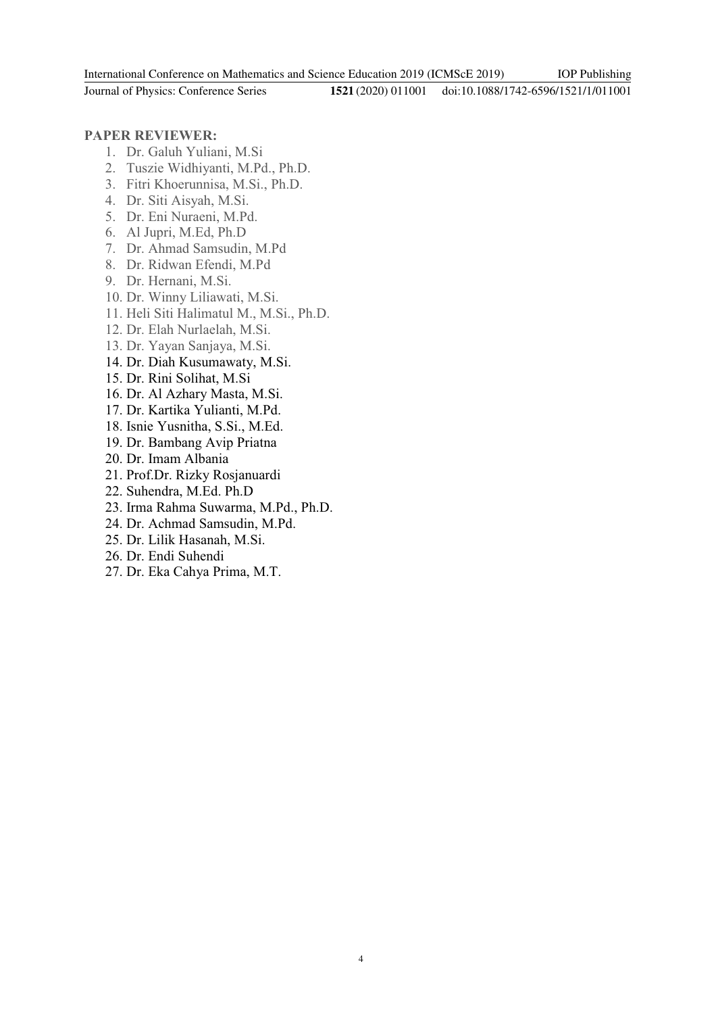International Conference on Mathematics and Science Education 2019 (ICMScE 2019)

Journal of Physics: Conference Series **1521** (2020) 011001

IOP Publishing

doi:10.1088/1742-6596/1521/1/011001

# **PAPER REVIEWER:**

- 1. Dr. Galuh Yuliani, M.Si
- 2. Tuszie Widhiyanti, M.Pd., Ph.D.
- 3. Fitri Khoerunnisa, M.Si., Ph.D.
- 4. Dr. Siti Aisyah, M.Si.
- 5. Dr. Eni Nuraeni, M.Pd.
- 6. Al Jupri, M.Ed, Ph.D
- 7. Dr. Ahmad Samsudin, M.Pd
- 8. Dr. Ridwan Efendi, M.Pd
- 9. Dr. Hernani, M.Si.
- 10. Dr. Winny Liliawati, M.Si.
- 11. Heli Siti Halimatul M., M.Si., Ph.D.
- 12. Dr. Elah Nurlaelah, M.Si.
- 13. Dr. Yayan Sanjaya, M.Si.
- 14. Dr. Diah Kusumawaty, M.Si.
- 15. Dr. Rini Solihat, M.Si
- 16. Dr. Al Azhary Masta, M.Si.
- 17. Dr. Kartika Yulianti, M.Pd.
- 18. Isnie Yusnitha, S.Si., M.Ed.
- 19. Dr. Bambang Avip Priatna
- 20. Dr. Imam Albania
- 21. Prof.Dr. Rizky Rosjanuardi
- 22. Suhendra, M.Ed. Ph.D
- 23. Irma Rahma Suwarma, M.Pd., Ph.D.
- 24. Dr. Achmad Samsudin, M.Pd.
- 25. Dr. Lilik Hasanah, M.Si.
- 26. Dr. Endi Suhendi
- 27. Dr. Eka Cahya Prima, M.T.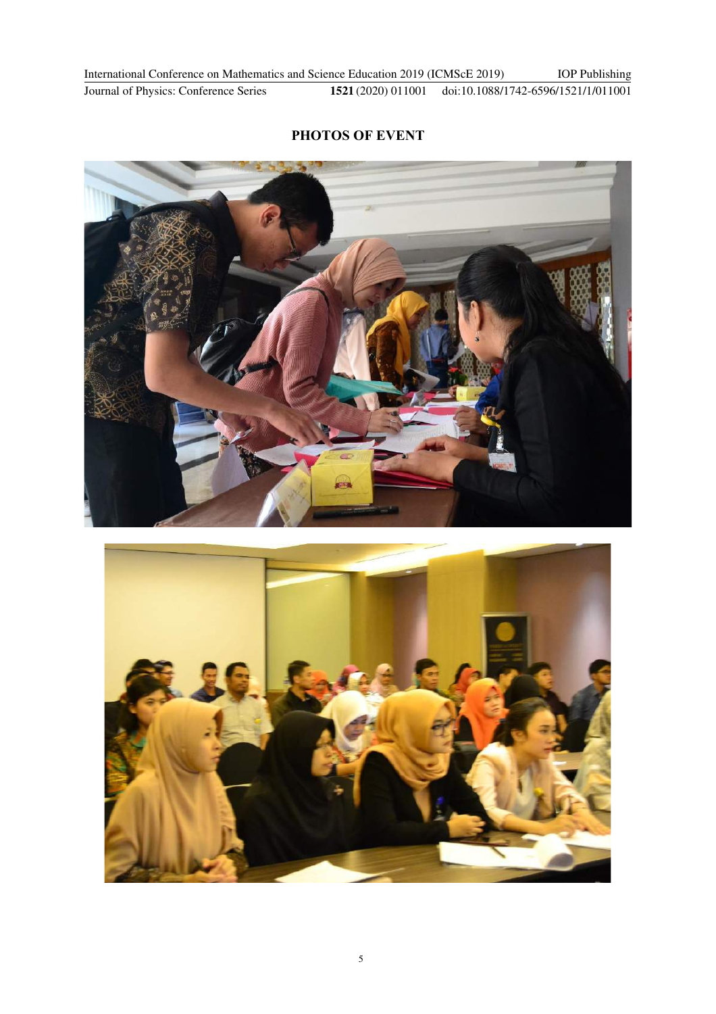# **PHOTOS OF EVENT**



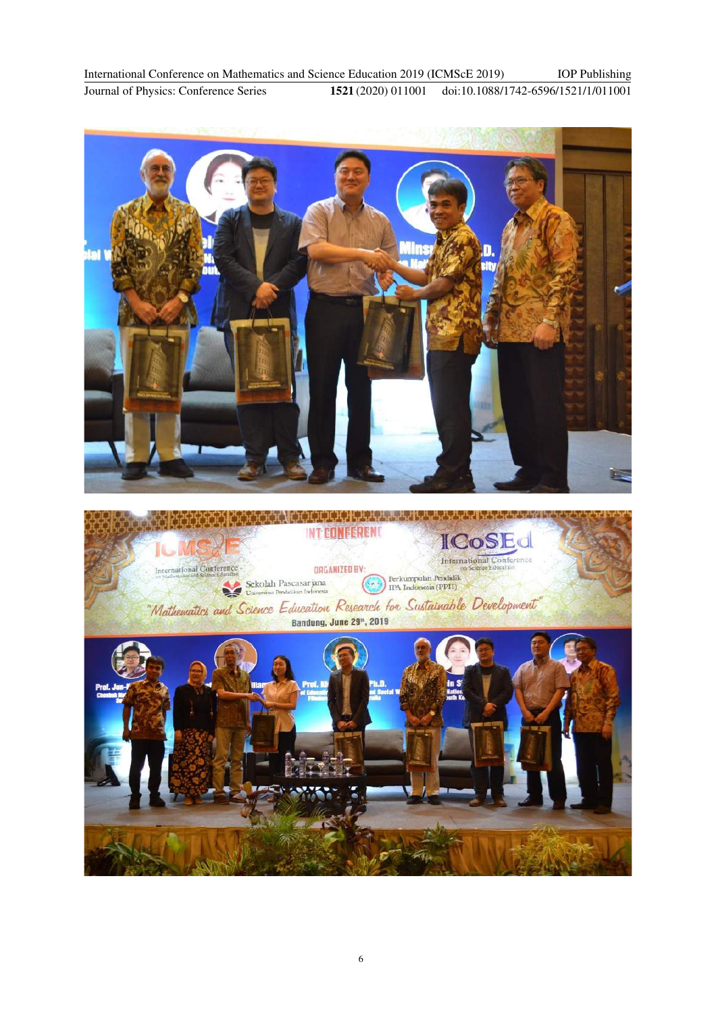International Conference on Mathematics and Science Education 2019 (ICMScE 2019) Journal of Physics: Conference Series **1521** (2020) 011001 IOP Publishing doi:10.1088/1742-6596/1521/1/011001

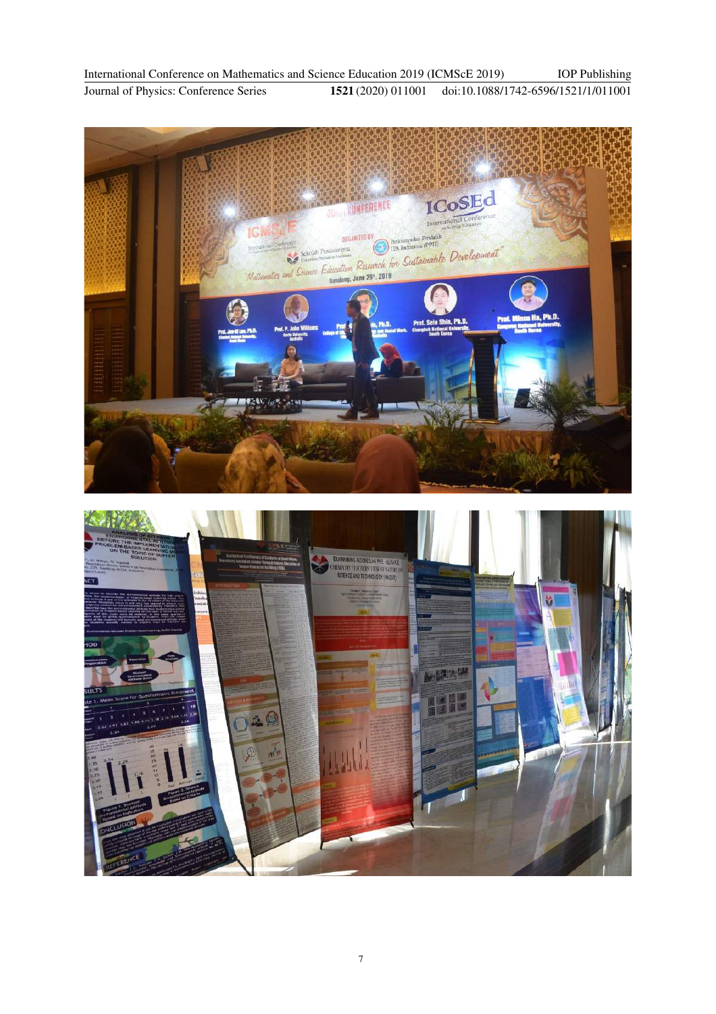International Conference on Mathematics and Science Education 2019 (ICMScE 2019) Journal of Physics: Conference Series **1521** (2020) 011001 IOP Publishing doi:10.1088/1742-6596/1521/1/011001

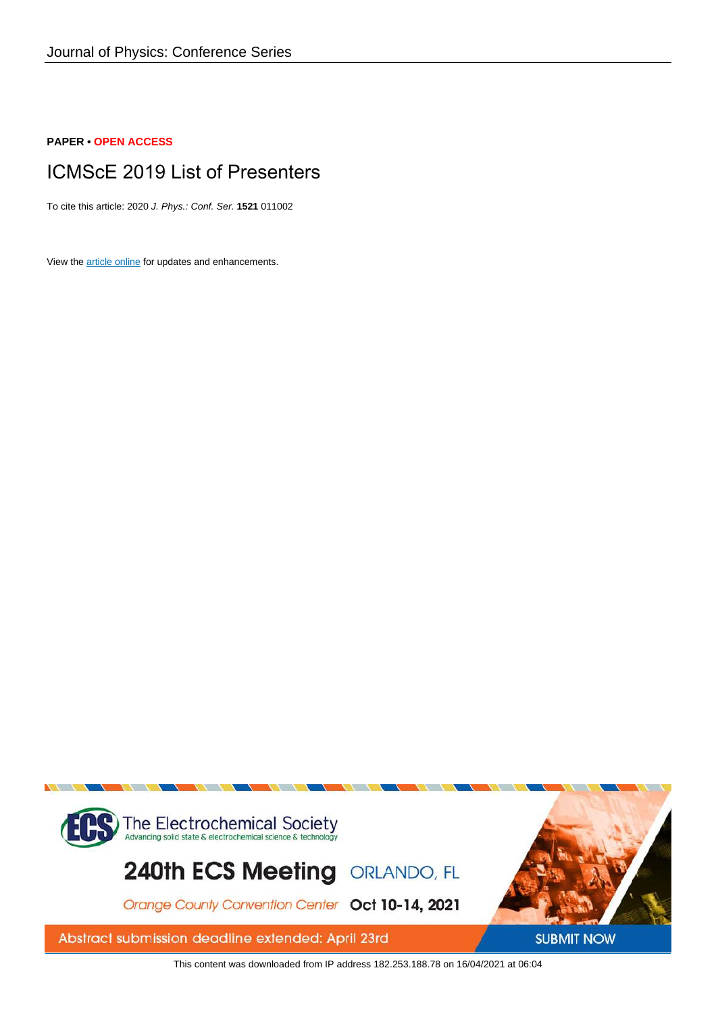# **PAPER • OPEN ACCESS**

# ICMScE 2019 List of Presenters

To cite this article: 2020 J. Phys.: Conf. Ser. **1521** 011002

View the [article online](https://doi.org/10.1088/1742-6596/1521/1/011002) for updates and enhancements.



This content was downloaded from IP address 182.253.188.78 on 16/04/2021 at 06:04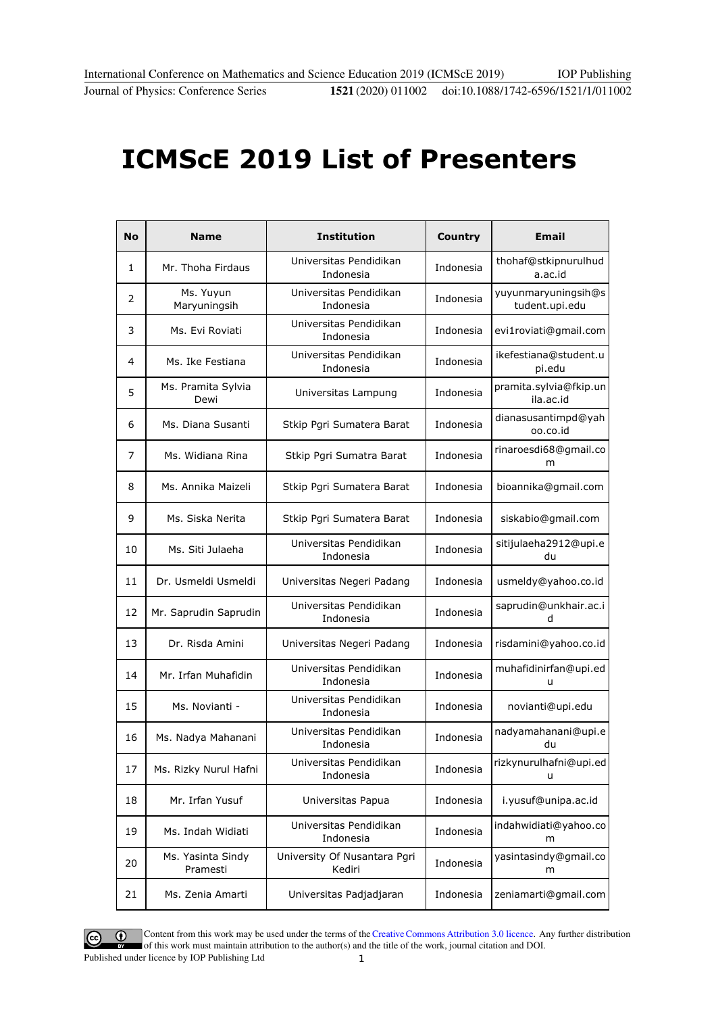# **ICMScE 2019 List of Presenters**

| <b>No</b> | <b>Name</b>                   | <b>Institution</b><br><b>Country</b>             |           | <b>Email</b>                          |
|-----------|-------------------------------|--------------------------------------------------|-----------|---------------------------------------|
| 1         | Mr. Thoha Firdaus             | Universitas Pendidikan<br>Indonesia              | Indonesia | thohaf@stkipnurulhud<br>a.ac.id       |
| 2         | Ms. Yuyun<br>Maryuningsih     | Universitas Pendidikan<br>Indonesia              | Indonesia | yuyunmaryuningsih@s<br>tudent.upi.edu |
| 3         | Ms. Evi Roviati               | Universitas Pendidikan<br>Indonesia              | Indonesia | evi1roviati@gmail.com                 |
| 4         | Ms. Ike Festiana              | Universitas Pendidikan<br>Indonesia              | Indonesia | ikefestiana@student.u<br>pi.edu       |
| 5         | Ms. Pramita Sylvia<br>Dewi    | Universitas Lampung                              | Indonesia | pramita.sylvia@fkip.un<br>ila.ac.id   |
| 6         | Ms. Diana Susanti             | Stkip Pgri Sumatera Barat                        | Indonesia | dianasusantimpd@yah<br>oo.co.id       |
| 7         | Ms. Widiana Rina              | Stkip Pgri Sumatra Barat                         | Indonesia | rinaroesdi68@gmail.co<br>m            |
| 8         | Ms. Annika Maizeli            | Stkip Pgri Sumatera Barat                        | Indonesia | bioannika@gmail.com                   |
| 9         | Ms. Siska Nerita              | Stkip Pgri Sumatera Barat                        | Indonesia | siskabio@gmail.com                    |
| 10        | Ms. Siti Julaeha              | Universitas Pendidikan<br>Indonesia              | Indonesia | sitijulaeha2912@upi.e<br>du           |
| 11        | Dr. Usmeldi Usmeldi           | Universitas Negeri Padang                        | Indonesia | usmeldy@yahoo.co.id                   |
| 12        | Mr. Saprudin Saprudin         | Universitas Pendidikan<br>Indonesia<br>Indonesia |           | saprudin@unkhair.ac.i<br>d            |
| 13        | Dr. Risda Amini               | Universitas Negeri Padang                        | Indonesia | risdamini@yahoo.co.id                 |
| 14        | Mr. Irfan Muhafidin           | Universitas Pendidikan<br>Indonesia              | Indonesia | muhafidinirfan@upi.ed<br>u            |
| 15        | Ms. Novianti -                | Universitas Pendidikan<br>Indonesia              | Indonesia | novianti@upi.edu                      |
| 16        | Ms. Nadya Mahanani            | Universitas Pendidikan<br>Indonesia              | Indonesia | nadyamahanani@upi.e<br>du             |
| 17        | Ms. Rizky Nurul Hafni         | Universitas Pendidikan<br>Indonesia              | Indonesia | rizkynurulhafni@upi.ed<br>u           |
| 18        | Mr. Irfan Yusuf               | Universitas Papua                                | Indonesia | i.yusuf@unipa.ac.id                   |
| 19        | Ms. Indah Widiati             | Universitas Pendidikan<br>Indonesia              | Indonesia | indahwidiati@yahoo.co<br>m            |
| 20        | Ms. Yasinta Sindy<br>Pramesti | University Of Nusantara Pgri<br>Kediri           | Indonesia | yasintasindy@gmail.co<br>m            |
| 21        | Ms. Zenia Amarti              | Universitas Padjadjaran                          | Indonesia | zeniamarti@gmail.com                  |



Content from this work may be used under the terms of the Creative Commons Attribution 3.0 licence. Any further distribution of this work must maintain attribution to the author(s) and the title of the work, journal citation and DOI. Published under licence by IOP Publishing Ltd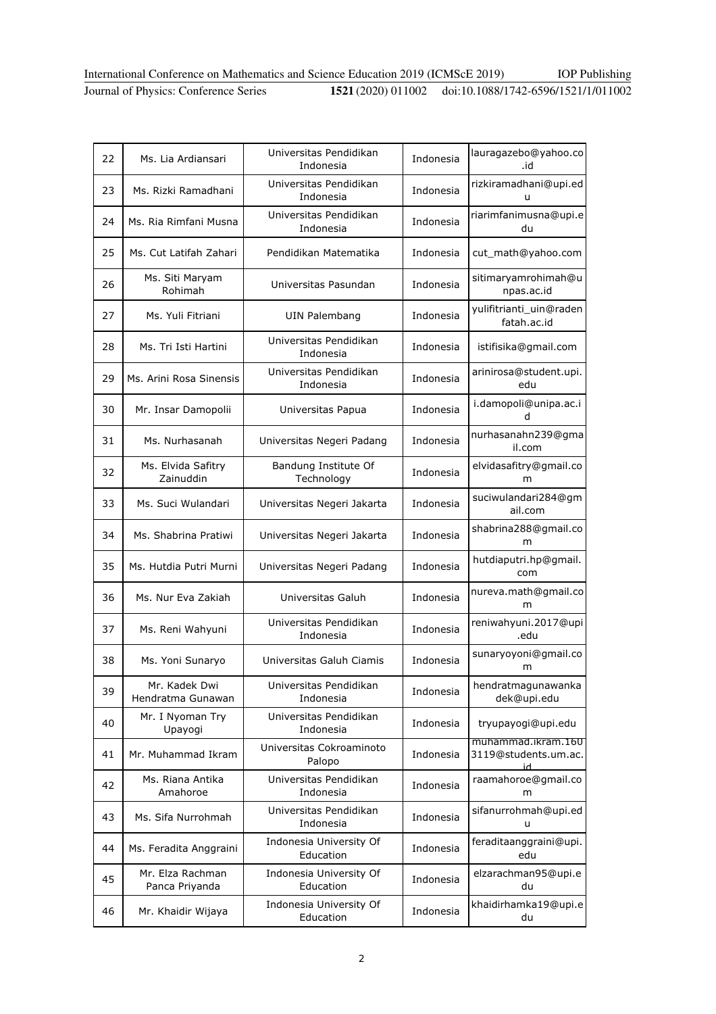Journal of Physics: Conference Series **1521** (2020) 011002 doi:10.1088/1742-6596/1521/1/011002

| 22 | Ms. Lia Ardiansari                 | Universitas Pendidikan<br>Indonesia<br>Indonesia |           | lauragazebo@yahoo.co<br>.id                      |
|----|------------------------------------|--------------------------------------------------|-----------|--------------------------------------------------|
| 23 | Ms. Rizki Ramadhani                | Universitas Pendidikan<br>Indonesia              | Indonesia | rizkiramadhani@upi.ed<br>u                       |
| 24 | Ms. Ria Rimfani Musna              | Universitas Pendidikan<br>Indonesia              | Indonesia | riarimfanimusna@upi.e<br>du                      |
| 25 | Ms. Cut Latifah Zahari             | Pendidikan Matematika                            | Indonesia | cut_math@yahoo.com                               |
| 26 | Ms. Siti Maryam<br>Rohimah         | Universitas Pasundan                             | Indonesia | sitimaryamrohimah@u<br>npas.ac.id                |
| 27 | Ms. Yuli Fitriani                  | UIN Palembang                                    | Indonesia | yulifitrianti_uin@raden<br>fatah.ac.id           |
| 28 | Ms. Tri Isti Hartini               | Universitas Pendidikan<br>Indonesia              | Indonesia | istifisika@gmail.com                             |
| 29 | Ms. Arini Rosa Sinensis            | Universitas Pendidikan<br>Indonesia              | Indonesia | arinirosa@student.upi.<br>edu                    |
| 30 | Mr. Insar Damopolii                | Universitas Papua                                | Indonesia | i.damopoli@unipa.ac.i<br>d                       |
| 31 | Ms. Nurhasanah                     | Universitas Negeri Padang                        | Indonesia | nurhasanahn239@gma<br>il.com                     |
| 32 | Ms. Elvida Safitry<br>Zainuddin    | Bandung Institute Of<br>Technology               | Indonesia | elvidasafitry@gmail.co<br>m                      |
| 33 | Ms. Suci Wulandari                 | Universitas Negeri Jakarta                       | Indonesia | suciwulandari284@gm<br>ail.com                   |
| 34 | Ms. Shabrina Pratiwi               | Universitas Negeri Jakarta                       | Indonesia | shabrina288@gmail.co<br>m                        |
| 35 | Ms. Hutdia Putri Murni             | Universitas Negeri Padang                        | Indonesia | hutdiaputri.hp@gmail.<br>com                     |
| 36 | Ms. Nur Eva Zakiah                 | Universitas Galuh                                | Indonesia | nureva.math@gmail.co<br>m                        |
| 37 | Ms. Reni Wahyuni                   | Universitas Pendidikan<br>Indonesia              | Indonesia | reniwahyuni.2017@upi<br>.edu                     |
| 38 | Ms. Yoni Sunaryo                   | Universitas Galuh Ciamis                         | Indonesia | sunaryoyoni@gmail.co<br>m                        |
| 39 | Mr. Kadek Dwi<br>Hendratma Gunawan | Universitas Pendidikan<br>Indonesia              | Indonesia | hendratmagunawanka<br>dek@upi.edu                |
| 40 | Mr. I Nyoman Try<br>Upayogi        | Universitas Pendidikan<br>Indonesia              | Indonesia | tryupayogi@upi.edu                               |
| 41 | Mr. Muhammad Ikram                 | Universitas Cokroaminoto<br>Palopo               | Indonesia | muhammad.ikram.160<br>3119@students.um.ac.<br>id |
| 42 | Ms. Riana Antika<br>Amahoroe       | Universitas Pendidikan<br>Indonesia              | Indonesia | raamahoroe@gmail.co<br>m                         |
| 43 | Ms. Sifa Nurrohmah                 | Universitas Pendidikan<br>Indonesia              | Indonesia | sifanurrohmah@upi.ed<br>u                        |
| 44 | Ms. Feradita Anggraini             | Indonesia University Of<br>Education             | Indonesia | feraditaanggraini@upi.<br>edu                    |
| 45 | Mr. Elza Rachman<br>Panca Priyanda | Indonesia University Of<br>Education             | Indonesia | elzarachman95@upi.e<br>du                        |
| 46 | Mr. Khaidir Wijaya                 | Indonesia University Of<br>Education             | Indonesia | khaidirhamka19@upi.e<br>du                       |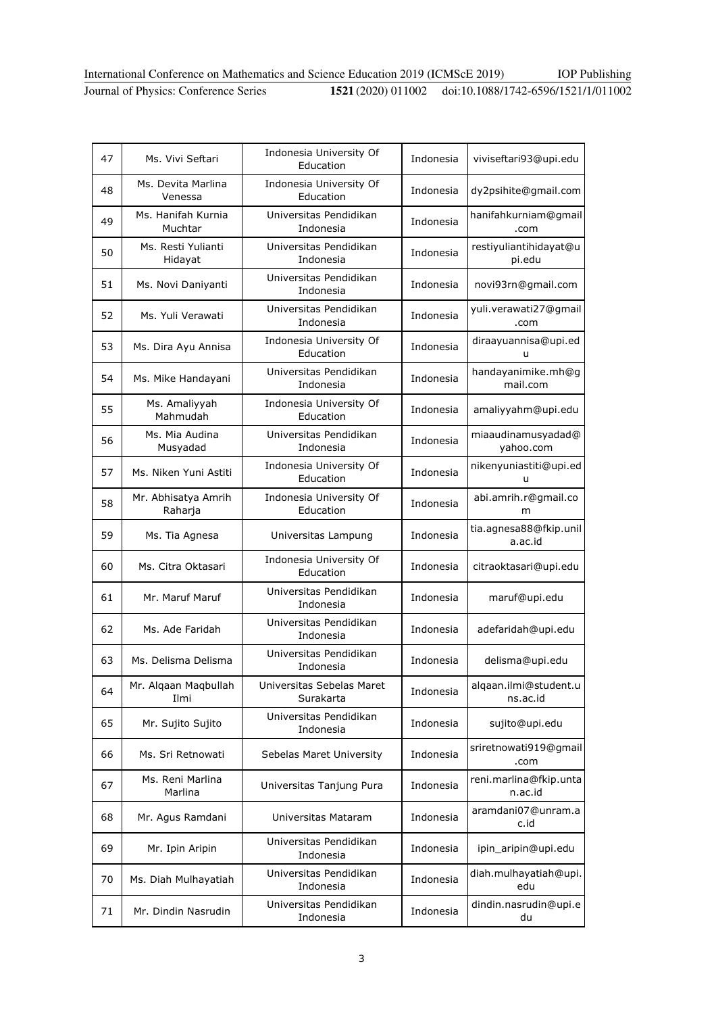| 47 | Ms. Vivi Seftari               | Indonesia University Of<br>Indonesia<br>Education |           | viviseftari93@upi.edu             |
|----|--------------------------------|---------------------------------------------------|-----------|-----------------------------------|
| 48 | Ms. Devita Marlina<br>Venessa  | Indonesia University Of<br>Education              | Indonesia | dy2psihite@gmail.com              |
| 49 | Ms. Hanifah Kurnia<br>Muchtar  | Universitas Pendidikan<br>Indonesia               | Indonesia | hanifahkurniam@gmail<br>.com      |
| 50 | Ms. Resti Yulianti<br>Hidayat  | Universitas Pendidikan<br>Indonesia               | Indonesia | restiyuliantihidayat@u<br>pi.edu  |
| 51 | Ms. Novi Daniyanti             | Universitas Pendidikan<br>Indonesia               | Indonesia | novi93rn@gmail.com                |
| 52 | Ms. Yuli Verawati              | Universitas Pendidikan<br>Indonesia               | Indonesia | yuli.verawati27@gmail<br>.com     |
| 53 | Ms. Dira Ayu Annisa            | Indonesia University Of<br>Education              | Indonesia | diraayuannisa@upi.ed<br>u         |
| 54 | Ms. Mike Handayani             | Universitas Pendidikan<br>Indonesia               | Indonesia | handayanimike.mh@g<br>mail.com    |
| 55 | Ms. Amaliyyah<br>Mahmudah      | Indonesia University Of<br>Education              | Indonesia | amaliyyahm@upi.edu                |
| 56 | Ms. Mia Audina<br>Musyadad     | Universitas Pendidikan<br>Indonesia               | Indonesia | miaaudinamusyadad@<br>yahoo.com   |
| 57 | Ms. Niken Yuni Astiti          | Indonesia University Of<br>Education              | Indonesia | nikenyuniastiti@upi.ed<br>u       |
| 58 | Mr. Abhisatya Amrih<br>Raharja | Indonesia University Of<br>Education              | Indonesia | abi.amrih.r@gmail.co<br>m         |
| 59 | Ms. Tia Agnesa                 | Universitas Lampung                               | Indonesia | tia.agnesa88@fkip.unil<br>a.ac.id |
| 60 | Ms. Citra Oktasari             | Indonesia University Of<br>Education              | Indonesia | citraoktasari@upi.edu             |
| 61 | Mr. Maruf Maruf                | Universitas Pendidikan<br>Indonesia               | Indonesia | maruf@upi.edu                     |
| 62 | Ms. Ade Faridah                | Universitas Pendidikan<br>Indonesia               | Indonesia | adefaridah@upi.edu                |
| 63 | Ms. Delisma Delisma            | Universitas Pendidikan<br>Indonesia               | Indonesia | delisma@upi.edu                   |
| 64 | Mr. Alqaan Maqbullah<br>Ilmi   | Universitas Sebelas Maret<br>Surakarta            | Indonesia | alqaan.ilmi@student.u<br>ns.ac.id |
| 65 | Mr. Sujito Sujito              | Universitas Pendidikan<br>Indonesia               | Indonesia | sujito@upi.edu                    |
| 66 | Ms. Sri Retnowati              | Sebelas Maret University                          | Indonesia | sriretnowati919@gmail<br>.com     |
| 67 | Ms. Reni Marlina<br>Marlina    | Universitas Tanjung Pura                          | Indonesia | reni.marlina@fkip.unta<br>n.ac.id |
| 68 | Mr. Agus Ramdani               | Universitas Mataram                               | Indonesia | aramdani07@unram.a<br>c.id        |
| 69 | Mr. Ipin Aripin                | Universitas Pendidikan<br>Indonesia               | Indonesia | ipin_aripin@upi.edu               |
| 70 | Ms. Diah Mulhayatiah           | Universitas Pendidikan<br>Indonesia               | Indonesia | diah.mulhayatiah@upi.<br>edu      |
| 71 | Mr. Dindin Nasrudin            | Universitas Pendidikan<br>Indonesia               | Indonesia | dindin.nasrudin@upi.e<br>du       |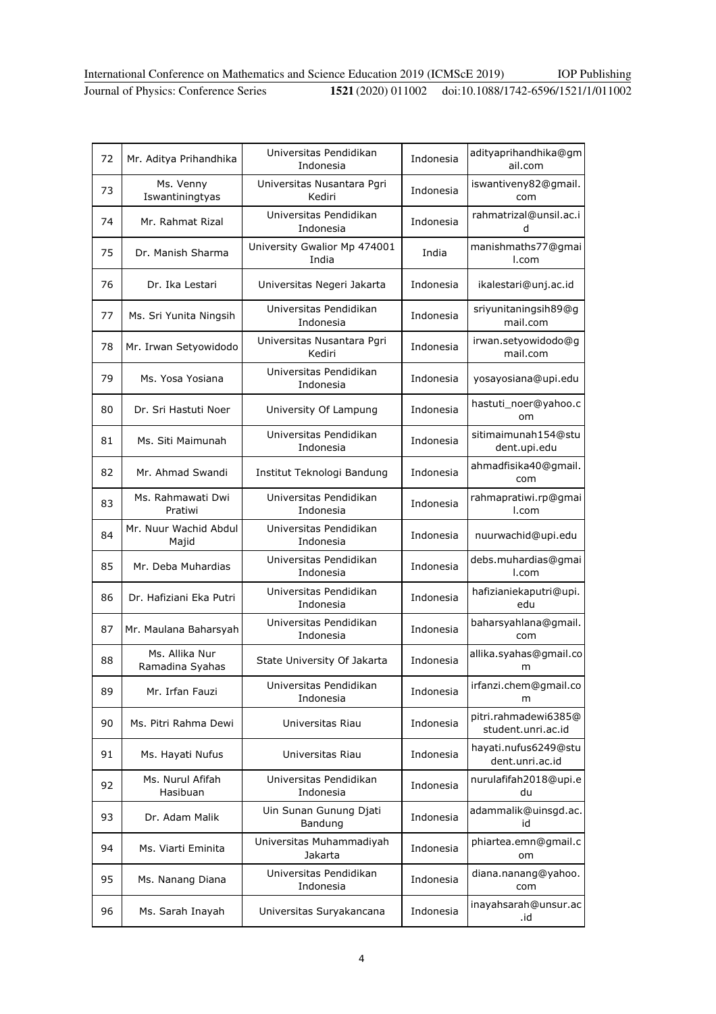|  | Journal of Physics: Conference Series |
|--|---------------------------------------|
|--|---------------------------------------|

# Journal of Physics: Conference Series **1521** (2020) 011002 doi:10.1088/1742-6596/1521/1/011002

| 72 | Mr. Aditya Prihandhika            | Universitas Pendidikan<br>Indonesia              | Indonesia | adityaprihandhika@gm<br>ail.com            |
|----|-----------------------------------|--------------------------------------------------|-----------|--------------------------------------------|
| 73 | Ms. Venny<br>Iswantiningtyas      | Universitas Nusantara Pgri<br>Kediri             | Indonesia | iswantiveny82@gmail.<br>com                |
| 74 | Mr. Rahmat Rizal                  | Universitas Pendidikan<br>Indonesia              | Indonesia | rahmatrizal@unsil.ac.i<br>d                |
| 75 | Dr. Manish Sharma                 | University Gwalior Mp 474001<br>India            | India     | manishmaths77@gmai<br>I.com                |
| 76 | Dr. Ika Lestari                   | Universitas Negeri Jakarta                       | Indonesia | ikalestari@unj.ac.id                       |
| 77 | Ms. Sri Yunita Ningsih            | Universitas Pendidikan<br>Indonesia              | Indonesia | sriyunitaningsih89@g<br>mail.com           |
| 78 | Mr. Irwan Setyowidodo             | Universitas Nusantara Pgri<br>Kediri             | Indonesia | irwan.setyowidodo@q<br>mail.com            |
| 79 | Ms. Yosa Yosiana                  | Universitas Pendidikan<br>Indonesia              | Indonesia | yosayosiana@upi.edu                        |
| 80 | Dr. Sri Hastuti Noer              | University Of Lampung                            | Indonesia | hastuti_noer@yahoo.c<br>om                 |
| 81 | Ms. Siti Maimunah                 | Universitas Pendidikan<br>Indonesia              | Indonesia | sitimaimunah154@stu<br>dent.upi.edu        |
| 82 | Mr. Ahmad Swandi                  | Institut Teknologi Bandung                       | Indonesia | ahmadfisika40@qmail.<br>com                |
| 83 | Ms. Rahmawati Dwi<br>Pratiwi      | Universitas Pendidikan<br>Indonesia              | Indonesia | rahmapratiwi.rp@gmai<br>I.com              |
| 84 | Mr. Nuur Wachid Abdul<br>Majid    | Universitas Pendidikan<br>Indonesia              | Indonesia | nuurwachid@upi.edu                         |
| 85 | Mr. Deba Muhardias                | Universitas Pendidikan<br>Indonesia<br>Indonesia |           | debs.muhardias@gmai<br>I.com               |
| 86 | Dr. Hafiziani Eka Putri           | Universitas Pendidikan<br>Indonesia              | Indonesia | hafizianiekaputri@upi.<br>edu              |
| 87 | Mr. Maulana Baharsyah             | Universitas Pendidikan<br>Indonesia              | Indonesia | baharsyahlana@gmail.<br>com                |
| 88 | Ms. Allika Nur<br>Ramadina Syahas | State University Of Jakarta                      | Indonesia | allika.syahas@gmail.co<br>m                |
| 89 | Mr. Irfan Fauzi                   | Universitas Pendidikan<br>Indonesia              | Indonesia | irfanzi.chem@gmail.co<br>m                 |
| 90 | Ms. Pitri Rahma Dewi              | Universitas Riau                                 | Indonesia | pitri.rahmadewi6385@<br>student.unri.ac.id |
| 91 | Ms. Hayati Nufus                  | Universitas Riau                                 | Indonesia | hayati.nufus6249@stu<br>dent.unri.ac.id    |
| 92 | Ms. Nurul Afifah<br>Hasibuan      | Universitas Pendidikan<br>Indonesia              | Indonesia | nurulafifah2018@upi.e<br>du                |
| 93 | Dr. Adam Malik                    | Uin Sunan Gunung Djati<br>Bandung                | Indonesia | adammalik@uinsgd.ac.<br>id                 |
| 94 | Ms. Viarti Eminita                | Universitas Muhammadiyah<br>Jakarta              | Indonesia | phiartea.emn@gmail.c<br>om                 |
| 95 | Ms. Nanang Diana                  | Universitas Pendidikan<br>Indonesia<br>Indonesia |           | diana.nanang@yahoo.<br>com                 |
| 96 | Ms. Sarah Inayah                  | Universitas Suryakancana                         | Indonesia | inayahsarah@unsur.ac<br>.id                |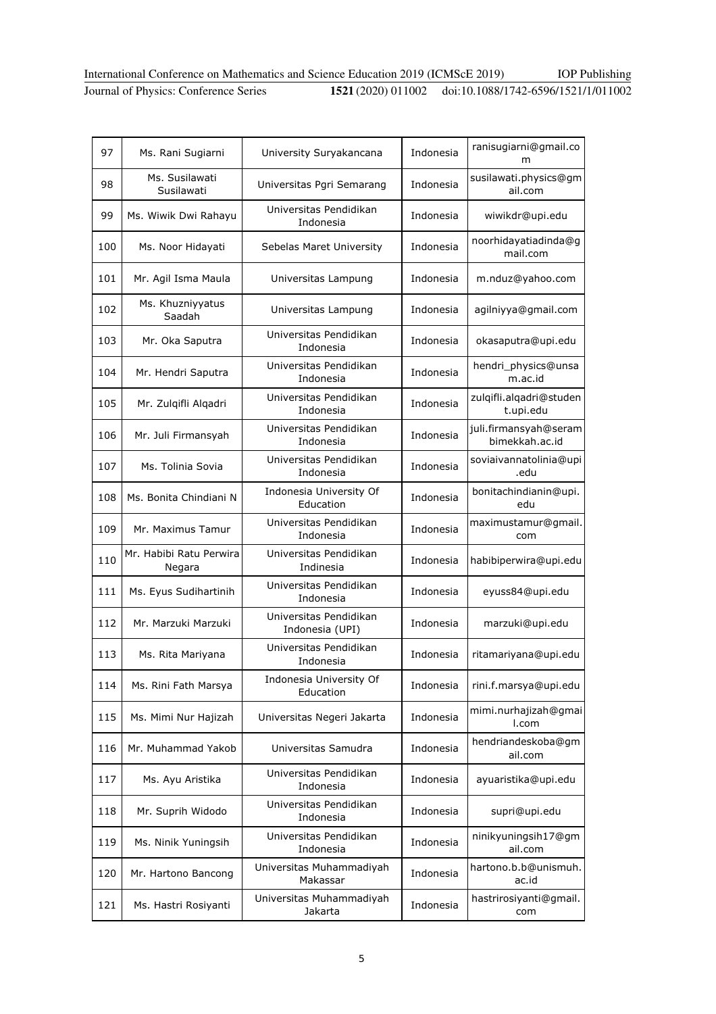| 97  | Ms. Rani Sugiarni                 | University Suryakancana                           | Indonesia | ranisugiarni@gmail.co<br>m              |
|-----|-----------------------------------|---------------------------------------------------|-----------|-----------------------------------------|
| 98  | Ms. Susilawati<br>Susilawati      | Universitas Pgri Semarang                         | Indonesia | susilawati.physics@gm<br>ail.com        |
| 99  | Ms. Wiwik Dwi Rahayu              | Universitas Pendidikan<br>Indonesia               | Indonesia | wiwikdr@upi.edu                         |
| 100 | Ms. Noor Hidayati                 | Sebelas Maret University                          | Indonesia | noorhidayatiadinda@g<br>mail.com        |
| 101 | Mr. Agil Isma Maula               | Universitas Lampung                               | Indonesia | m.nduz@yahoo.com                        |
| 102 | Ms. Khuzniyyatus<br>Saadah        | Universitas Lampung                               | Indonesia | agilniyya@gmail.com                     |
| 103 | Mr. Oka Saputra                   | Universitas Pendidikan<br>Indonesia               | Indonesia | okasaputra@upi.edu                      |
| 104 | Mr. Hendri Saputra                | Universitas Pendidikan<br>Indonesia               | Indonesia | hendri_physics@unsa<br>m.ac.id          |
| 105 | Mr. Zulqifli Alqadri              | Universitas Pendidikan<br>Indonesia               | Indonesia | zulqifli.alqadri@studen<br>t.upi.edu    |
| 106 | Mr. Juli Firmansyah               | Universitas Pendidikan<br>Indonesia               | Indonesia | juli.firmansyah@seram<br>bimekkah.ac.id |
| 107 | Ms. Tolinia Sovia                 | Universitas Pendidikan<br>Indonesia               | Indonesia | soviaivannatolinia@upi<br>.edu          |
| 108 | Ms. Bonita Chindiani N            | Indonesia University Of<br>Indonesia<br>Education |           | bonitachindianin@upi.<br>edu            |
| 109 | Mr. Maximus Tamur                 | Universitas Pendidikan<br>Indonesia               | Indonesia |                                         |
| 110 | Mr. Habibi Ratu Perwira<br>Negara | Universitas Pendidikan<br>Indinesia               | Indonesia | habibiperwira@upi.edu                   |
| 111 | Ms. Eyus Sudihartinih             | Universitas Pendidikan<br>Indonesia               | Indonesia | eyuss84@upi.edu                         |
| 112 | Mr. Marzuki Marzuki               | Universitas Pendidikan<br>Indonesia (UPI)         | Indonesia | marzuki@upi.edu                         |
| 113 | Ms. Rita Mariyana                 | Universitas Pendidikan<br>Indonesia               | Indonesia | ritamariyana@upi.edu                    |
| 114 | Ms. Rini Fath Marsya              | Indonesia University Of<br>Education              | Indonesia | rini.f.marsya@upi.edu                   |
| 115 | Ms. Mimi Nur Hajizah              | Universitas Negeri Jakarta                        | Indonesia | mimi.nurhajizah@gmai<br>I.com           |
| 116 | Mr. Muhammad Yakob                | Universitas Samudra                               | Indonesia | hendriandeskoba@gm<br>ail.com           |
| 117 | Ms. Ayu Aristika                  | Universitas Pendidikan<br>Indonesia               | Indonesia | ayuaristika@upi.edu                     |
| 118 | Mr. Suprih Widodo                 | Universitas Pendidikan<br>Indonesia               | Indonesia | supri@upi.edu                           |
| 119 | Ms. Ninik Yuningsih               | Universitas Pendidikan<br>Indonesia               | Indonesia | ninikyuningsih17@gm<br>ail.com          |
| 120 | Mr. Hartono Bancong               | Universitas Muhammadiyah<br>Makassar              | Indonesia | hartono.b.b@unismuh.<br>ac.id           |
| 121 | Ms. Hastri Rosiyanti              | Universitas Muhammadiyah<br>Jakarta               | Indonesia | hastrirosiyanti@gmail.<br>com           |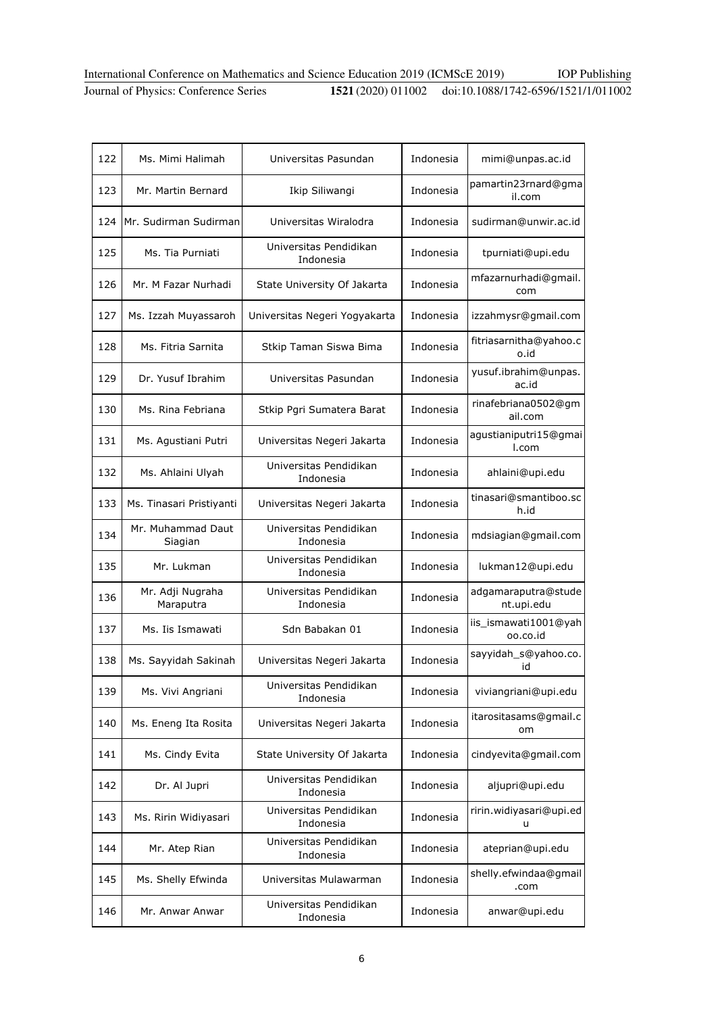1521 (2020) 011002 doi:10.1088/1742-6596/1521/1/011002

| 122 | Ms. Mimi Halimah              | Universitas Pasundan                | Indonesia | mimi@unpas.ac.id                  |
|-----|-------------------------------|-------------------------------------|-----------|-----------------------------------|
| 123 | Mr. Martin Bernard            | Ikip Siliwangi                      | Indonesia | pamartin23rnard@gma<br>il.com     |
| 124 | Mr. Sudirman Sudirman         | Universitas Wiralodra               | Indonesia | sudirman@unwir.ac.id              |
| 125 | Ms. Tia Purniati              | Universitas Pendidikan<br>Indonesia | Indonesia | tpurniati@upi.edu                 |
| 126 | Mr. M Fazar Nurhadi           | State University Of Jakarta         | Indonesia | mfazarnurhadi@gmail.<br>com       |
| 127 | Ms. Izzah Muyassaroh          | Universitas Negeri Yogyakarta       | Indonesia | izzahmysr@gmail.com               |
| 128 | Ms. Fitria Sarnita            | Stkip Taman Siswa Bima              | Indonesia | fitriasarnitha@yahoo.c<br>o.id    |
| 129 | Dr. Yusuf Ibrahim             | Universitas Pasundan                | Indonesia | yusuf.ibrahim@unpas.<br>ac.id     |
| 130 | Ms. Rina Febriana             | Stkip Pgri Sumatera Barat           | Indonesia | rinafebriana0502@gm<br>ail.com    |
| 131 | Ms. Agustiani Putri           | Universitas Negeri Jakarta          | Indonesia | agustianiputri15@gmai<br>I.com    |
| 132 | Ms. Ahlaini Ulyah             | Universitas Pendidikan<br>Indonesia | Indonesia | ahlaini@upi.edu                   |
| 133 | Ms. Tinasari Pristiyanti      | Universitas Negeri Jakarta          | Indonesia | tinasari@smantiboo.sc<br>h.id     |
| 134 | Mr. Muhammad Daut<br>Siagian  | Universitas Pendidikan<br>Indonesia | Indonesia | mdsiagian@gmail.com               |
| 135 | Mr. Lukman                    | Universitas Pendidikan<br>Indonesia | Indonesia | lukman12@upi.edu                  |
| 136 | Mr. Adji Nugraha<br>Maraputra | Universitas Pendidikan<br>Indonesia | Indonesia | adgamaraputra@stude<br>nt.upi.edu |
| 137 | Ms. Iis Ismawati              | Sdn Babakan 01                      | Indonesia | iis_ismawati1001@yah<br>oo.co.id  |
| 138 | Ms. Sayyidah Sakinah          | Universitas Negeri Jakarta          | Indonesia | sayyidah_s@yahoo.co.<br>id        |
| 139 | Ms. Vivi Angriani             | Universitas Pendidikan<br>Indonesia | Indonesia | viviangriani@upi.edu              |
| 140 | Ms. Eneng Ita Rosita          | Universitas Negeri Jakarta          | Indonesia | itarositasams@gmail.c<br>om       |
| 141 | Ms. Cindy Evita               | State University Of Jakarta         | Indonesia | cindyevita@gmail.com              |
| 142 | Dr. Al Jupri                  | Universitas Pendidikan<br>Indonesia | Indonesia | aljupri@upi.edu                   |
| 143 | Ms. Ririn Widiyasari          | Universitas Pendidikan<br>Indonesia | Indonesia | ririn.widiyasari@upi.ed<br>u      |
| 144 | Mr. Atep Rian                 | Universitas Pendidikan<br>Indonesia | Indonesia | ateprian@upi.edu                  |
| 145 | Ms. Shelly Efwinda            | Universitas Mulawarman              | Indonesia | shelly.efwindaa@gmail<br>.com     |
| 146 | Mr. Anwar Anwar               | Universitas Pendidikan<br>Indonesia | Indonesia | anwar@upi.edu                     |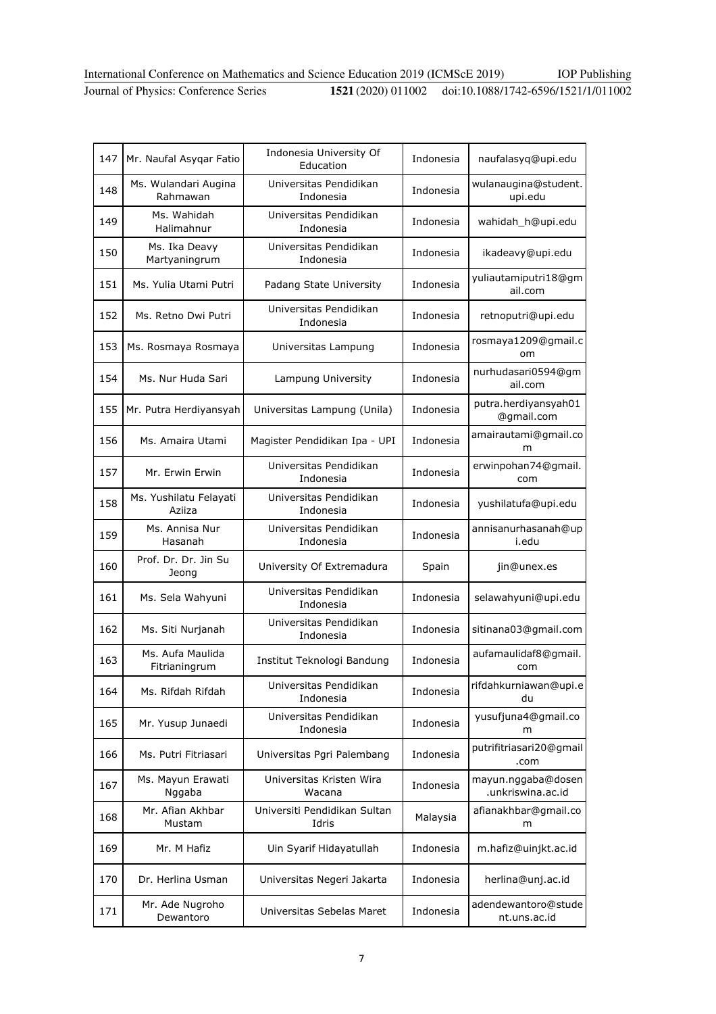# 1521 (2020) 011002 doi:10.1088/1742-6596/1521/1/011002

| 147 | Mr. Naufal Asyqar Fatio           | Indonesia University Of<br>Education             | Indonesia | naufalasyq@upi.edu                      |  |
|-----|-----------------------------------|--------------------------------------------------|-----------|-----------------------------------------|--|
| 148 | Ms. Wulandari Augina<br>Rahmawan  | Universitas Pendidikan<br>Indonesia<br>Indonesia |           | wulanaugina@student.<br>upi.edu         |  |
| 149 | Ms. Wahidah<br>Halimahnur         | Universitas Pendidikan<br>Indonesia              | Indonesia | wahidah_h@upi.edu                       |  |
| 150 | Ms. Ika Deavy<br>Martyaningrum    | Universitas Pendidikan<br>Indonesia              | Indonesia | ikadeavy@upi.edu                        |  |
| 151 | Ms. Yulia Utami Putri             | Padang State University                          | Indonesia | yuliautamiputri18@gm<br>ail.com         |  |
| 152 | Ms. Retno Dwi Putri               | Universitas Pendidikan<br>Indonesia              | Indonesia | retnoputri@upi.edu                      |  |
| 153 | Ms. Rosmaya Rosmaya               | Universitas Lampung                              | Indonesia | rosmaya1209@gmail.c<br>om               |  |
| 154 | Ms. Nur Huda Sari                 | Lampung University                               | Indonesia | nurhudasari0594@gm<br>ail.com           |  |
| 155 | Mr. Putra Herdiyansyah            | Universitas Lampung (Unila)                      | Indonesia | putra.herdiyansyah01<br>@gmail.com      |  |
| 156 | Ms. Amaira Utami                  | Magister Pendidikan Ipa - UPI                    | Indonesia | amairautami@gmail.co<br>m               |  |
| 157 | Mr. Erwin Erwin                   | Universitas Pendidikan<br>Indonesia              | Indonesia | erwinpohan74@gmail.<br>com              |  |
| 158 | Ms. Yushilatu Felayati<br>Aziiza  | Universitas Pendidikan<br>Indonesia              | Indonesia | yushilatufa@upi.edu                     |  |
| 159 | Ms. Annisa Nur<br>Hasanah         | Universitas Pendidikan<br>Indonesia              | Indonesia | annisanurhasanah@up<br>i.edu            |  |
| 160 | Prof. Dr. Dr. Jin Su<br>Jeong     | University Of Extremadura                        | Spain     | jin@unex.es                             |  |
| 161 | Ms. Sela Wahyuni                  | Universitas Pendidikan<br>Indonesia              | Indonesia | selawahyuni@upi.edu                     |  |
| 162 | Ms. Siti Nurjanah                 | Universitas Pendidikan<br>Indonesia              | Indonesia | sitinana03@gmail.com                    |  |
| 163 | Ms. Aufa Maulida<br>Fitrianingrum | Institut Teknologi Bandung                       | Indonesia | aufamaulidaf8@gmail.<br>com             |  |
| 164 | Ms. Rifdah Rifdah                 | Universitas Pendidikan<br>Indonesia              | Indonesia | rifdahkurniawan@upi.e<br>du             |  |
| 165 | Mr. Yusup Junaedi                 | Universitas Pendidikan<br>Indonesia              | Indonesia | yusufjuna4@gmail.co<br>m                |  |
| 166 | Ms. Putri Fitriasari              | Universitas Pgri Palembang                       | Indonesia | putrifitriasari20@gmail<br>.com         |  |
| 167 | Ms. Mayun Erawati<br>Nggaba       | Universitas Kristen Wira<br>Wacana               | Indonesia | mayun.nggaba@dosen<br>.unkriswina.ac.id |  |
| 168 | Mr. Afian Akhbar<br>Mustam        | Universiti Pendidikan Sultan<br>Idris            | Malaysia  | afianakhbar@gmail.co<br>m               |  |
| 169 | Mr. M Hafiz                       | Uin Syarif Hidayatullah                          | Indonesia | m.hafiz@uinjkt.ac.id                    |  |
| 170 | Dr. Herlina Usman                 | Universitas Negeri Jakarta                       | Indonesia | herlina@unj.ac.id                       |  |
| 171 | Mr. Ade Nugroho<br>Dewantoro      | Universitas Sebelas Maret                        | Indonesia | adendewantoro@stude<br>nt.uns.ac.id     |  |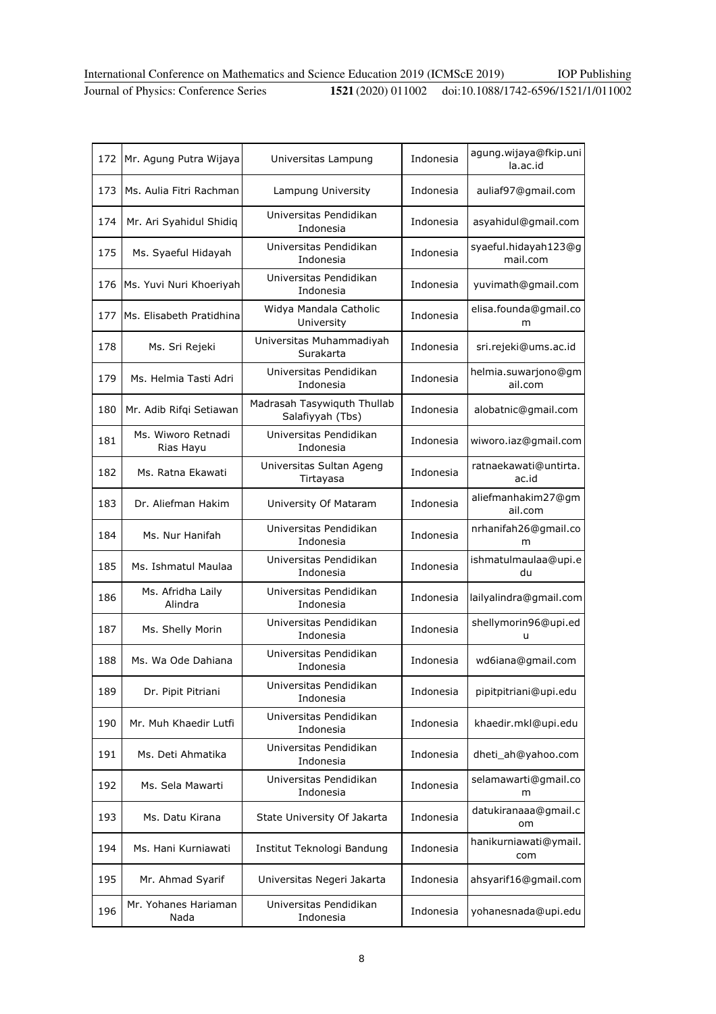|  | Journal of Physics: Conference Series |  |
|--|---------------------------------------|--|
|  |                                       |  |

Journal of Physics: Conference Series **1521** (2020) 011002 doi:10.1088/1742-6596/1521/1/011002

| 172 | Mr. Agung Putra Wijaya          | Universitas Lampung                             | Indonesia                               | agung.wijaya@fkip.uni<br>la.ac.id |
|-----|---------------------------------|-------------------------------------------------|-----------------------------------------|-----------------------------------|
| 173 | Ms. Aulia Fitri Rachman         | Lampung University                              | Indonesia                               | auliaf97@gmail.com                |
| 174 | Mr. Ari Syahidul Shidiq         | Universitas Pendidikan<br>Indonesia             | Indonesia                               | asyahidul@gmail.com               |
| 175 | Ms. Syaeful Hidayah             | Universitas Pendidikan<br>Indonesia             | Indonesia                               | syaeful.hidayah123@g<br>mail.com  |
| 176 | Ms. Yuvi Nuri Khoeriyah         | Universitas Pendidikan<br>Indonesia             | Indonesia                               | yuvimath@gmail.com                |
| 177 | Ms. Elisabeth Pratidhina        | Widya Mandala Catholic<br>University            | Indonesia                               | elisa.founda@gmail.co<br>m        |
| 178 | Ms. Sri Rejeki                  | Universitas Muhammadiyah<br>Surakarta           | Indonesia                               | sri.rejeki@ums.ac.id              |
| 179 | Ms. Helmia Tasti Adri           | Universitas Pendidikan<br>Indonesia             | Indonesia                               | helmia.suwarjono@gm<br>ail.com    |
| 180 | Mr. Adib Rifqi Setiawan         | Madrasah Tasywiquth Thullab<br>Salafiyyah (Tbs) | Indonesia                               | alobatnic@gmail.com               |
| 181 | Ms. Wiworo Retnadi<br>Rias Hayu | Universitas Pendidikan<br>Indonesia             | Indonesia                               | wiworo.iaz@gmail.com              |
| 182 | Ms. Ratna Ekawati               | Universitas Sultan Ageng<br>Tirtayasa           | Indonesia                               |                                   |
| 183 | Dr. Aliefman Hakim              | University Of Mataram                           | Indonesia                               |                                   |
| 184 | Ms. Nur Hanifah                 | Universitas Pendidikan<br>Indonesia             | nrhanifah26@gmail.co<br>Indonesia       |                                   |
| 185 | Ms. Ishmatul Maulaa             | Universitas Pendidikan<br>Indonesia             | ishmatulmaulaa@upi.e<br>Indonesia<br>du |                                   |
| 186 | Ms. Afridha Laily<br>Alindra    | Universitas Pendidikan<br>Indonesia             | lailyalindra@gmail.com<br>Indonesia     |                                   |
| 187 | Ms. Shelly Morin                | Universitas Pendidikan<br>Indonesia             | shellymorin96@upi.ed<br>Indonesia<br>u  |                                   |
| 188 | Ms. Wa Ode Dahiana              | Universitas Pendidikan<br>Indonesia             | Indonesia                               | wd6iana@gmail.com                 |
| 189 | Dr. Pipit Pitriani              | Universitas Pendidikan<br>Indonesia             | Indonesia                               | pipitpitriani@upi.edu             |
| 190 | Mr. Muh Khaedir Lutfi           | Universitas Pendidikan<br>Indonesia             | Indonesia                               | khaedir.mkl@upi.edu               |
| 191 | Ms. Deti Ahmatika               | Universitas Pendidikan<br>Indonesia             | Indonesia                               | dheti_ah@yahoo.com                |
| 192 | Ms. Sela Mawarti                | Universitas Pendidikan<br>Indonesia             | Indonesia                               | selamawarti@gmail.co<br>m         |
| 193 | Ms. Datu Kirana                 | State University Of Jakarta                     | Indonesia                               | datukiranaaa@gmail.c<br>om        |
| 194 | Ms. Hani Kurniawati             | Institut Teknologi Bandung                      | Indonesia                               | hanikurniawati@ymail.<br>com      |
| 195 | Mr. Ahmad Syarif                | Universitas Negeri Jakarta                      | Indonesia<br>ahsyarif16@gmail.com       |                                   |
| 196 | Mr. Yohanes Hariaman<br>Nada    | Universitas Pendidikan<br>Indonesia             | Indonesia                               | yohanesnada@upi.edu               |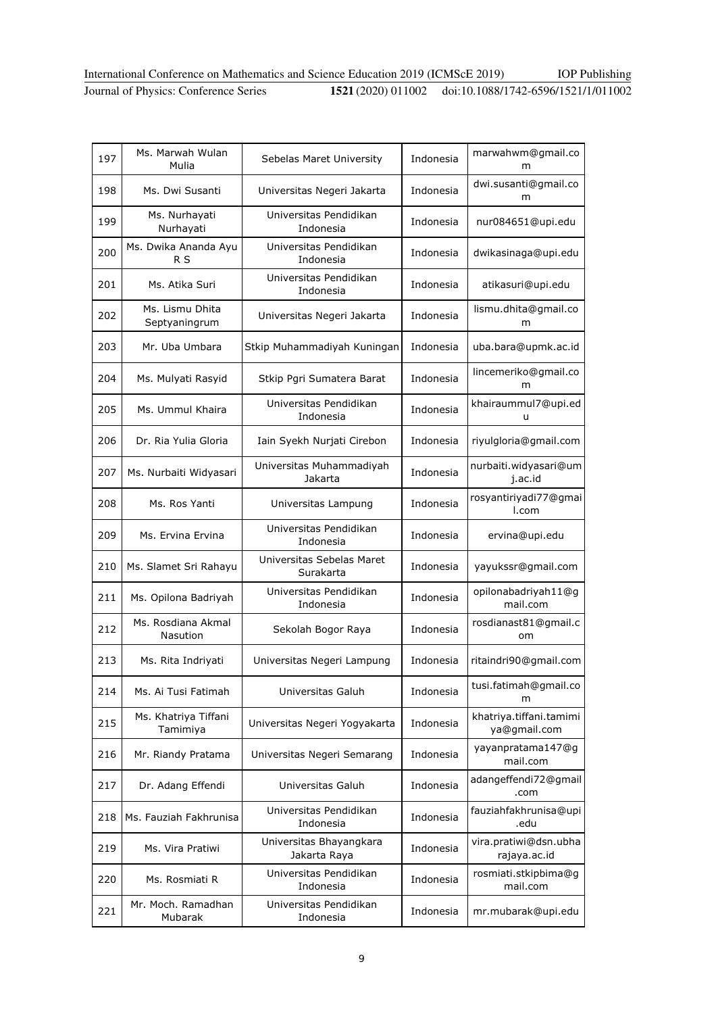| 21 (2020) 011002 | doi:10.1088/1742-6596/1521/1/011002 |
|------------------|-------------------------------------|
|------------------|-------------------------------------|

| 197 | Ms. Marwah Wulan<br>Mulia        | Sebelas Maret University                | Indonesia | marwahwm@gmail.co<br>m                  |
|-----|----------------------------------|-----------------------------------------|-----------|-----------------------------------------|
| 198 | Ms. Dwi Susanti                  | Universitas Negeri Jakarta              | Indonesia | dwi.susanti@gmail.co<br>m               |
| 199 | Ms. Nurhayati<br>Nurhayati       | Universitas Pendidikan<br>Indonesia     | Indonesia | nur084651@upi.edu                       |
| 200 | Ms. Dwika Ananda Ayu<br>R S      | Universitas Pendidikan<br>Indonesia     | Indonesia | dwikasinaga@upi.edu                     |
| 201 | Ms. Atika Suri                   | Universitas Pendidikan<br>Indonesia     | Indonesia | atikasuri@upi.edu                       |
| 202 | Ms. Lismu Dhita<br>Septyaningrum | Universitas Negeri Jakarta              | Indonesia | lismu.dhita@gmail.co<br>m               |
| 203 | Mr. Uba Umbara                   | Stkip Muhammadiyah Kuningan             | Indonesia | uba.bara@upmk.ac.id                     |
| 204 | Ms. Mulyati Rasyid               | Stkip Pgri Sumatera Barat               | Indonesia | lincemeriko@gmail.co<br>m               |
| 205 | Ms. Ummul Khaira                 | Universitas Pendidikan<br>Indonesia     | Indonesia | khairaummul7@upi.ed<br>u                |
| 206 | Dr. Ria Yulia Gloria             | Iain Syekh Nurjati Cirebon              | Indonesia | riyulgloria@gmail.com                   |
| 207 | Ms. Nurbaiti Widyasari           | Universitas Muhammadiyah<br>Jakarta     | Indonesia | nurbaiti.widyasari@um<br>j.ac.id        |
| 208 | Ms. Ros Yanti                    | Universitas Lampung                     | Indonesia | rosyantiriyadi77@gmai<br>I.com          |
| 209 | Ms. Ervina Ervina                | Universitas Pendidikan<br>Indonesia     | Indonesia | ervina@upi.edu                          |
| 210 | Ms. Slamet Sri Rahayu            | Universitas Sebelas Maret<br>Surakarta  | Indonesia | yayukssr@gmail.com                      |
| 211 | Ms. Opilona Badriyah             | Universitas Pendidikan<br>Indonesia     | Indonesia | opilonabadriyah11@g<br>mail.com         |
| 212 | Ms. Rosdiana Akmal<br>Nasution   | Sekolah Bogor Raya                      | Indonesia | rosdianast81@gmail.c<br>om              |
| 213 | Ms. Rita Indriyati               | Universitas Negeri Lampung              | Indonesia | ritaindri90@gmail.com                   |
| 214 | Ms. Ai Tusi Fatimah              | Universitas Galuh                       | Indonesia | tusi.fatimah@gmail.co<br>m              |
| 215 | Ms. Khatriya Tiffani<br>Tamimiya | Universitas Negeri Yogyakarta           | Indonesia | khatriya.tiffani.tamimi<br>ya@gmail.com |
| 216 | Mr. Riandy Pratama               | Universitas Negeri Semarang             | Indonesia | yayanpratama147@g<br>mail.com           |
| 217 | Dr. Adang Effendi                | Universitas Galuh                       | Indonesia | adangeffendi72@gmail<br>.com            |
| 218 | Ms. Fauziah Fakhrunisa           | Universitas Pendidikan<br>Indonesia     | Indonesia | fauziahfakhrunisa@upi<br>.edu           |
| 219 | Ms. Vira Pratiwi                 | Universitas Bhayangkara<br>Jakarta Raya | Indonesia | vira.pratiwi@dsn.ubha<br>rajaya.ac.id   |
| 220 | Ms. Rosmiati R                   | Universitas Pendidikan<br>Indonesia     | Indonesia | rosmiati.stkipbima@g<br>mail.com        |
| 221 | Mr. Moch. Ramadhan<br>Mubarak    | Universitas Pendidikan<br>Indonesia     | Indonesia | mr.mubarak@upi.edu                      |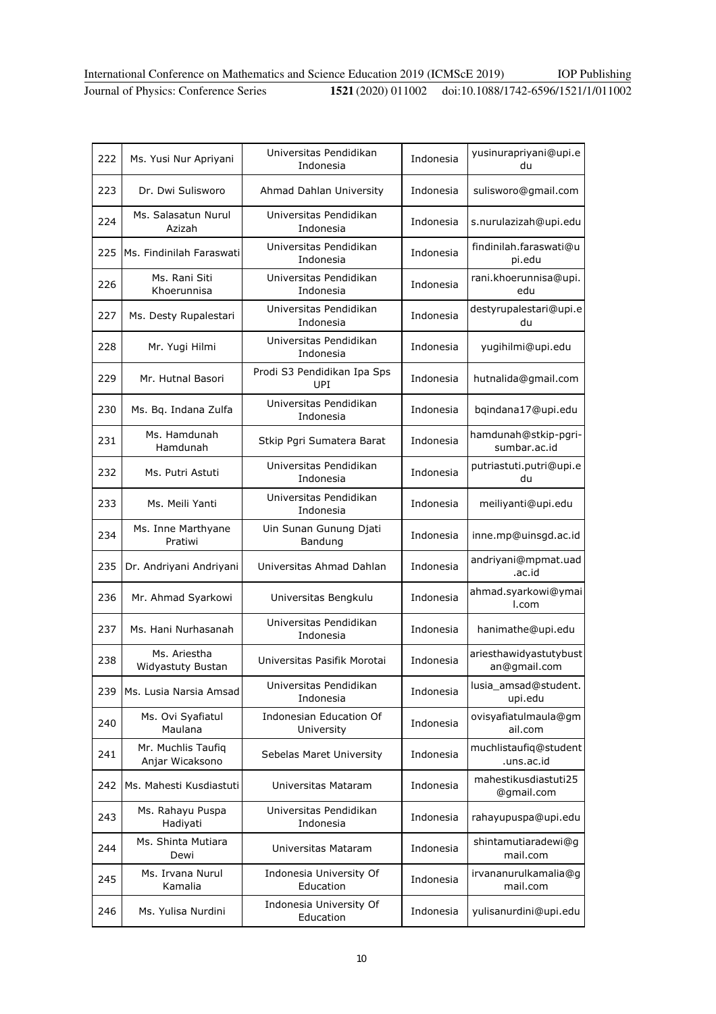| 222 | Ms. Yusi Nur Apriyani                 | Universitas Pendidikan<br>Indonesia       | Indonesia | yusinurapriyani@upi.e<br>du            |  |
|-----|---------------------------------------|-------------------------------------------|-----------|----------------------------------------|--|
| 223 | Dr. Dwi Sulisworo                     | Ahmad Dahlan University                   | Indonesia | sulisworo@gmail.com                    |  |
| 224 | Ms. Salasatun Nurul<br>Azizah         | Universitas Pendidikan<br>Indonesia       | Indonesia | s.nurulazizah@upi.edu                  |  |
| 225 | Ms. Findinilah Faraswati              | Universitas Pendidikan<br>Indonesia       | Indonesia | findinilah.faraswati@u<br>pi.edu       |  |
| 226 | Ms. Rani Siti<br>Khoerunnisa          | Universitas Pendidikan<br>Indonesia       | Indonesia | rani.khoerunnisa@upi.<br>edu           |  |
| 227 | Ms. Desty Rupalestari                 | Universitas Pendidikan<br>Indonesia       | Indonesia | destyrupalestari@upi.e<br>du           |  |
| 228 | Mr. Yugi Hilmi                        | Universitas Pendidikan<br>Indonesia       | Indonesia | yugihilmi@upi.edu                      |  |
| 229 | Mr. Hutnal Basori                     | Prodi S3 Pendidikan Ipa Sps<br><b>UPI</b> | Indonesia | hutnalida@gmail.com                    |  |
| 230 | Ms. Bq. Indana Zulfa                  | Universitas Pendidikan<br>Indonesia       | Indonesia | bqindana17@upi.edu                     |  |
| 231 | Ms. Hamdunah<br>Hamdunah              | Stkip Pgri Sumatera Barat                 | Indonesia | hamdunah@stkip-pgri-<br>sumbar.ac.id   |  |
| 232 | Ms. Putri Astuti                      | Universitas Pendidikan<br>Indonesia       | Indonesia | putriastuti.putri@upi.e<br>du          |  |
| 233 | Ms. Meili Yanti                       | Universitas Pendidikan<br>Indonesia       | Indonesia | meiliyanti@upi.edu                     |  |
| 234 | Ms. Inne Marthyane<br>Pratiwi         | Uin Sunan Gunung Djati<br>Bandung         | Indonesia | inne.mp@uinsgd.ac.id                   |  |
| 235 | Dr. Andriyani Andriyani               | Universitas Ahmad Dahlan                  | Indonesia | andriyani@mpmat.uad<br>.ac.id          |  |
| 236 | Mr. Ahmad Syarkowi                    | Universitas Bengkulu                      | Indonesia | ahmad.syarkowi@ymai<br>I.com           |  |
| 237 | Ms. Hani Nurhasanah                   | Universitas Pendidikan<br>Indonesia       | Indonesia | hanimathe@upi.edu                      |  |
| 238 | Ms. Ariestha<br>Widyastuty Bustan     | Universitas Pasifik Morotai               | Indonesia | ariesthawidyastutybust<br>an@gmail.com |  |
| 239 | Ms. Lusia Narsia Amsad                | Universitas Pendidikan<br>Indonesia       | Indonesia | lusia_amsad@student.<br>upi.edu        |  |
| 240 | Ms. Ovi Syafiatul<br>Maulana          | Indonesian Education Of<br>University     | Indonesia | ovisyafiatulmaula@gm<br>ail.com        |  |
| 241 | Mr. Muchlis Taufiq<br>Anjar Wicaksono | Sebelas Maret University                  | Indonesia | muchlistaufiq@student<br>.uns.ac.id    |  |
| 242 | Ms. Mahesti Kusdiastuti               | Universitas Mataram                       | Indonesia | mahestikusdiastuti25<br>@gmail.com     |  |
| 243 | Ms. Rahayu Puspa<br>Hadiyati          | Universitas Pendidikan<br>Indonesia       | Indonesia | rahayupuspa@upi.edu                    |  |
| 244 | Ms. Shinta Mutiara<br>Dewi            | Universitas Mataram                       | Indonesia | shintamutiaradewi@g<br>mail.com        |  |
| 245 | Ms. Irvana Nurul<br>Kamalia           | Indonesia University Of<br>Education      | Indonesia | irvananurulkamalia@q<br>mail.com       |  |
| 246 | Ms. Yulisa Nurdini                    | Indonesia University Of<br>Education      | Indonesia | yulisanurdini@upi.edu                  |  |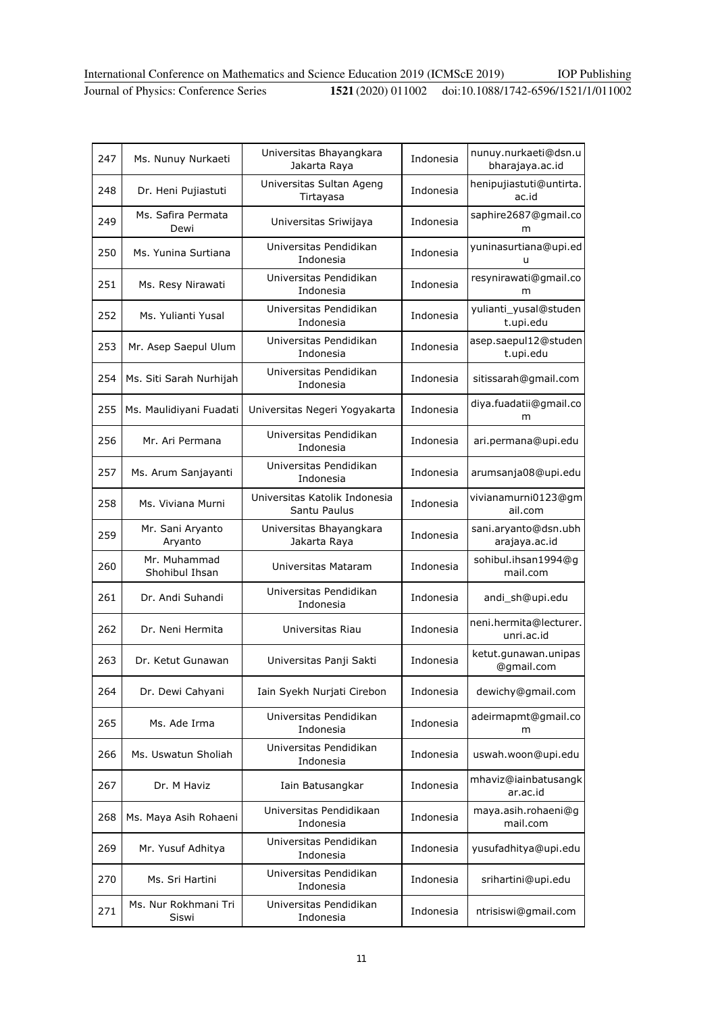|  | Journal of Physics: Conference Series |  |
|--|---------------------------------------|--|
|  |                                       |  |

Journal of Physics: Conference Series **1521** (2020) 011002 doi:10.1088/1742-6596/1521/1/011002

| 247 | Ms. Nunuy Nurkaeti             | Universitas Bhayangkara<br>Indonesia<br>Jakarta Raya |           | nunuy.nurkaeti@dsn.u<br>bharajaya.ac.id |  |
|-----|--------------------------------|------------------------------------------------------|-----------|-----------------------------------------|--|
| 248 | Dr. Heni Pujiastuti            | Universitas Sultan Ageng<br>Tirtayasa                | Indonesia | henipujiastuti@untirta.<br>ac.id        |  |
| 249 | Ms. Safira Permata<br>Dewi     | Universitas Sriwijaya                                | Indonesia | saphire2687@gmail.co<br>m               |  |
| 250 | Ms. Yunina Surtiana            | Universitas Pendidikan<br>Indonesia                  | Indonesia | yuninasurtiana@upi.ed<br>u              |  |
| 251 | Ms. Resy Nirawati              | Universitas Pendidikan<br>Indonesia                  | Indonesia | resynirawati@gmail.co<br>m              |  |
| 252 | Ms. Yulianti Yusal             | Universitas Pendidikan<br>Indonesia                  | Indonesia | yulianti_yusal@studen<br>t.upi.edu      |  |
| 253 | Mr. Asep Saepul Ulum           | Universitas Pendidikan<br>Indonesia                  | Indonesia | asep.saepul12@studen<br>t.upi.edu       |  |
| 254 | Ms. Siti Sarah Nurhijah        | Universitas Pendidikan<br>Indonesia                  | Indonesia | sitissarah@gmail.com                    |  |
| 255 | Ms. Maulidiyani Fuadati        | Universitas Negeri Yogyakarta                        | Indonesia | diya.fuadatii@gmail.co<br>m             |  |
| 256 | Mr. Ari Permana                | Universitas Pendidikan<br>Indonesia                  | Indonesia | ari.permana@upi.edu                     |  |
| 257 | Ms. Arum Sanjayanti            | Universitas Pendidikan<br>Indonesia                  | Indonesia | arumsanja08@upi.edu                     |  |
| 258 | Ms. Viviana Murni              | Universitas Katolik Indonesia<br>Santu Paulus        | Indonesia | vivianamurni0123@gm<br>ail.com          |  |
| 259 | Mr. Sani Aryanto<br>Aryanto    | Universitas Bhayangkara<br>Jakarta Raya              | Indonesia | sani.aryanto@dsn.ubh<br>arajaya.ac.id   |  |
| 260 | Mr. Muhammad<br>Shohibul Ihsan | Universitas Mataram                                  | Indonesia | sohibul.ihsan1994@g<br>mail.com         |  |
| 261 | Dr. Andi Suhandi               | Universitas Pendidikan<br>Indonesia                  | Indonesia | andi_sh@upi.edu                         |  |
| 262 | Dr. Neni Hermita               | Universitas Riau                                     | Indonesia | neni.hermita@lecturer.<br>unri.ac.id    |  |
| 263 | Dr. Ketut Gunawan              | Universitas Panji Sakti                              | Indonesia | ketut.gunawan.unipas<br>@gmail.com      |  |
| 264 | Dr. Dewi Cahyani               | Iain Syekh Nurjati Cirebon                           | Indonesia | dewichy@gmail.com                       |  |
| 265 | Ms. Ade Irma                   | Universitas Pendidikan<br>Indonesia                  | Indonesia | adeirmapmt@gmail.co<br>m                |  |
| 266 | Ms. Uswatun Sholiah            | Universitas Pendidikan<br>Indonesia                  | Indonesia | uswah.woon@upi.edu                      |  |
| 267 | Dr. M Haviz                    | Iain Batusangkar                                     | Indonesia | mhaviz@iainbatusangk<br>ar.ac.id        |  |
| 268 | Ms. Maya Asih Rohaeni          | Universitas Pendidikaan<br>Indonesia                 | Indonesia | maya.asih.rohaeni@g<br>mail.com         |  |
| 269 | Mr. Yusuf Adhitya              | Universitas Pendidikan<br>Indonesia                  | Indonesia | yusufadhitya@upi.edu                    |  |
| 270 | Ms. Sri Hartini                | Universitas Pendidikan<br>Indonesia                  | Indonesia | srihartini@upi.edu                      |  |
| 271 | Ms. Nur Rokhmani Tri<br>Siswi  | Universitas Pendidikan<br>Indonesia                  | Indonesia | ntrisiswi@gmail.com                     |  |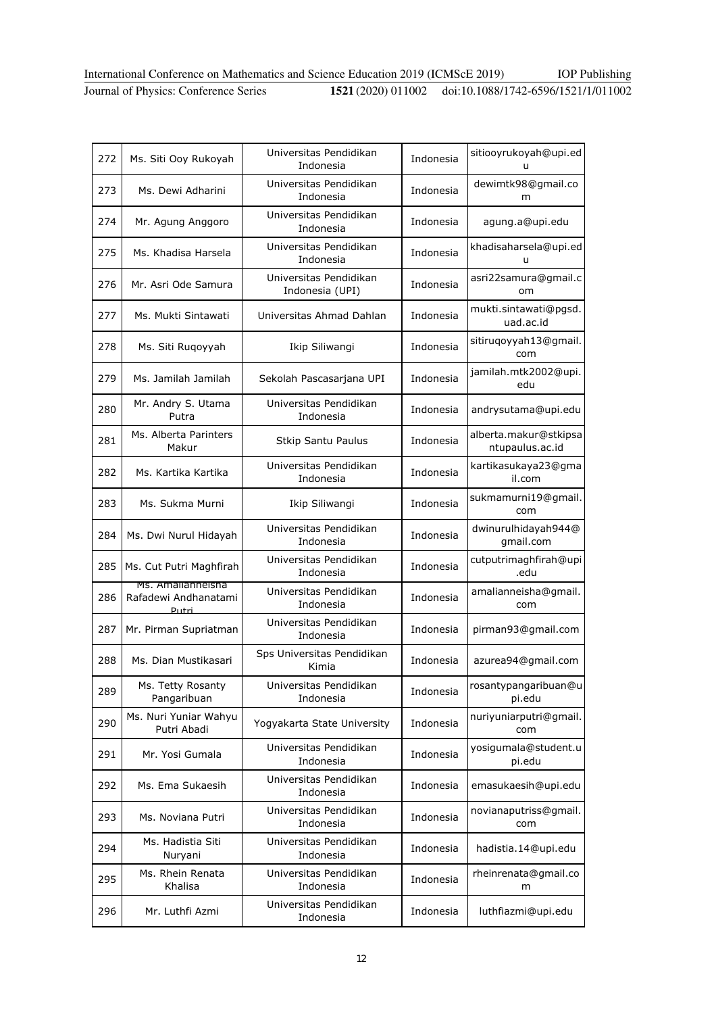|  | Journal of Physics: Conference Serie |  |
|--|--------------------------------------|--|
|  |                                      |  |

Journal of Physics: Conference Series **1521** (2020) 011002 doi:10.1088/1742-6596/1521/1/011002

| 272 | Ms. Siti Ooy Rukoyah                                      | Universitas Pendidikan<br>Indonesia<br>Indonesia |           | sitiooyrukoyah@upi.ed<br>u               |
|-----|-----------------------------------------------------------|--------------------------------------------------|-----------|------------------------------------------|
| 273 | Ms. Dewi Adharini                                         | Universitas Pendidikan<br>Indonesia              | Indonesia | dewimtk98@gmail.co<br>m                  |
| 274 | Mr. Agung Anggoro                                         | Universitas Pendidikan<br>Indonesia              | Indonesia | agung.a@upi.edu                          |
| 275 | Ms. Khadisa Harsela                                       | Universitas Pendidikan<br>Indonesia              | Indonesia | khadisaharsela@upi.ed<br>u               |
| 276 | Mr. Asri Ode Samura                                       | Universitas Pendidikan<br>Indonesia (UPI)        | Indonesia | asri22samura@gmail.c<br>om               |
| 277 | Ms. Mukti Sintawati                                       | Universitas Ahmad Dahlan                         | Indonesia | mukti.sintawati@pgsd.<br>uad.ac.id       |
| 278 | Ms. Siti Ruqoyyah                                         | Ikip Siliwangi                                   | Indonesia | sitiruqoyyah13@gmail.<br>com             |
| 279 | Ms. Jamilah Jamilah                                       | Sekolah Pascasarjana UPI                         | Indonesia | jamilah.mtk2002@upi.<br>edu              |
| 280 | Mr. Andry S. Utama<br>Putra                               | Universitas Pendidikan<br>Indonesia              | Indonesia | andrysutama@upi.edu                      |
| 281 | Ms. Alberta Parinters<br>Makur                            | <b>Stkip Santu Paulus</b>                        | Indonesia | alberta.makur@stkipsa<br>ntupaulus.ac.id |
| 282 | Ms. Kartika Kartika                                       | Universitas Pendidikan<br>Indonesia              | Indonesia | kartikasukaya23@gma<br>il.com            |
| 283 | Ms. Sukma Murni                                           | Ikip Siliwangi                                   | Indonesia | sukmamurni19@gmail.<br>com               |
| 284 | Ms. Dwi Nurul Hidayah                                     | Universitas Pendidikan<br>Indonesia              | Indonesia | dwinurulhidayah944@<br>gmail.com         |
| 285 | Ms. Cut Putri Maghfirah                                   | Universitas Pendidikan<br>Indonesia              | Indonesia | cutputrimaghfirah@upi<br>.edu            |
| 286 | Ms. Amalianneisha<br>Rafadewi Andhanatami<br><b>Putri</b> | Universitas Pendidikan<br>Indonesia              | Indonesia | amalianneisha@gmail.<br>com              |
| 287 | Mr. Pirman Supriatman                                     | Universitas Pendidikan<br>Indonesia              | Indonesia | pirman93@gmail.com                       |
| 288 | Ms. Dian Mustikasari                                      | Sps Universitas Pendidikan<br>Kimia              | Indonesia | azurea94@gmail.com                       |
| 289 | Ms. Tetty Rosanty<br>Pangaribuan                          | Universitas Pendidikan<br>Indonesia              | Indonesia | rosantypangaribuan@u<br>pi.edu           |
| 290 | Ms. Nuri Yuniar Wahyu<br>Putri Abadi                      | Yogyakarta State University                      | Indonesia | nuriyuniarputri@gmail.<br>com            |
| 291 | Mr. Yosi Gumala                                           | Universitas Pendidikan<br>Indonesia              | Indonesia | yosigumala@student.u<br>pi.edu           |
| 292 | Ms. Ema Sukaesih                                          | Universitas Pendidikan<br>Indonesia              | Indonesia | emasukaesih@upi.edu                      |
| 293 | Ms. Noviana Putri                                         | Universitas Pendidikan<br>Indonesia              | Indonesia | novianaputriss@gmail.<br>com             |
| 294 | Ms. Hadistia Siti<br>Nuryani                              | Universitas Pendidikan<br>Indonesia              | Indonesia | hadistia.14@upi.edu                      |
| 295 | Ms. Rhein Renata<br>Khalisa                               | Universitas Pendidikan<br>Indonesia              | Indonesia | rheinrenata@gmail.co<br>m                |
| 296 | Mr. Luthfi Azmi                                           | Universitas Pendidikan<br>Indonesia              | Indonesia | luthfiazmi@upi.edu                       |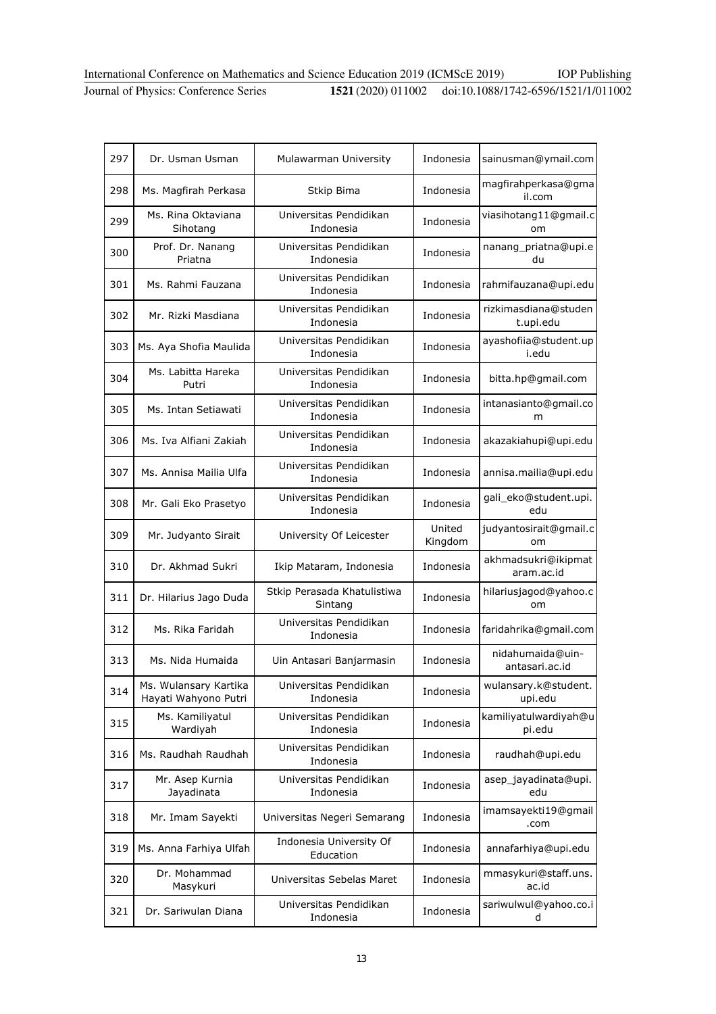| 297 | Dr. Usman Usman                               | Mulawarman University                  | Indonesia         | sainusman@ymail.com                |
|-----|-----------------------------------------------|----------------------------------------|-------------------|------------------------------------|
| 298 | Ms. Magfirah Perkasa                          | Stkip Bima                             | Indonesia         | magfirahperkasa@gma<br>il.com      |
| 299 | Ms. Rina Oktaviana<br>Sihotang                | Universitas Pendidikan<br>Indonesia    | Indonesia         | viasihotang11@gmail.c<br>om        |
| 300 | Prof. Dr. Nanang<br>Priatna                   | Universitas Pendidikan<br>Indonesia    | Indonesia         | nanang_priatna@upi.e<br>du         |
| 301 | Ms. Rahmi Fauzana                             | Universitas Pendidikan<br>Indonesia    | Indonesia         | rahmifauzana@upi.edu               |
| 302 | Mr. Rizki Masdiana                            | Universitas Pendidikan<br>Indonesia    | Indonesia         | rizkimasdiana@studen<br>t.upi.edu  |
| 303 | Ms. Aya Shofia Maulida                        | Universitas Pendidikan<br>Indonesia    | Indonesia         | ayashofiia@student.up<br>i.edu     |
| 304 | Ms. Labitta Hareka<br>Putri                   | Universitas Pendidikan<br>Indonesia    | Indonesia         | bitta.hp@gmail.com                 |
| 305 | Ms. Intan Setiawati                           | Universitas Pendidikan<br>Indonesia    | Indonesia         | intanasianto@gmail.co<br>m         |
| 306 | Ms. Iva Alfiani Zakiah                        | Universitas Pendidikan<br>Indonesia    | Indonesia         | akazakiahupi@upi.edu               |
| 307 | Ms. Annisa Mailia Ulfa                        | Universitas Pendidikan<br>Indonesia    | Indonesia         | annisa.mailia@upi.edu              |
| 308 | Mr. Gali Eko Prasetyo                         | Universitas Pendidikan<br>Indonesia    | Indonesia         | gali_eko@student.upi.<br>edu       |
| 309 | Mr. Judyanto Sirait                           | University Of Leicester                | United<br>Kingdom | judyantosirait@gmail.c<br>om       |
| 310 | Dr. Akhmad Sukri                              | Ikip Mataram, Indonesia                | Indonesia         | akhmadsukri@ikipmat<br>aram.ac.id  |
| 311 | Dr. Hilarius Jago Duda                        | Stkip Perasada Khatulistiwa<br>Sintang | Indonesia         | hilariusjagod@yahoo.c<br>om        |
| 312 | Ms. Rika Faridah                              | Universitas Pendidikan<br>Indonesia    | Indonesia         | faridahrika@gmail.com              |
| 313 | Ms. Nida Humaida                              | Uin Antasari Banjarmasin               | Indonesia         | nidahumaida@uin-<br>antasari.ac.id |
| 314 | Ms. Wulansary Kartika<br>Hayati Wahyono Putri | Universitas Pendidikan<br>Indonesia    | Indonesia         | wulansary.k@student.<br>upi.edu    |
| 315 | Ms. Kamiliyatul<br>Wardiyah                   | Universitas Pendidikan<br>Indonesia    | Indonesia         | kamiliyatulwardiyah@u<br>pi.edu    |
| 316 | Ms. Raudhah Raudhah                           | Universitas Pendidikan<br>Indonesia    | Indonesia         | raudhah@upi.edu                    |
| 317 | Mr. Asep Kurnia<br>Jayadinata                 | Universitas Pendidikan<br>Indonesia    | Indonesia         | asep_jayadinata@upi.<br>edu        |
| 318 | Mr. Imam Sayekti                              | Universitas Negeri Semarang            | Indonesia         | imamsayekti19@gmail<br>.com        |
| 319 | Ms. Anna Farhiya Ulfah                        | Indonesia University Of<br>Education   | Indonesia         | annafarhiya@upi.edu                |
| 320 | Dr. Mohammad<br>Masykuri                      | Universitas Sebelas Maret              | Indonesia         | mmasykuri@staff.uns.<br>ac.id      |
| 321 | Dr. Sariwulan Diana                           | Universitas Pendidikan<br>Indonesia    | Indonesia         | sariwulwul@yahoo.co.i<br>d         |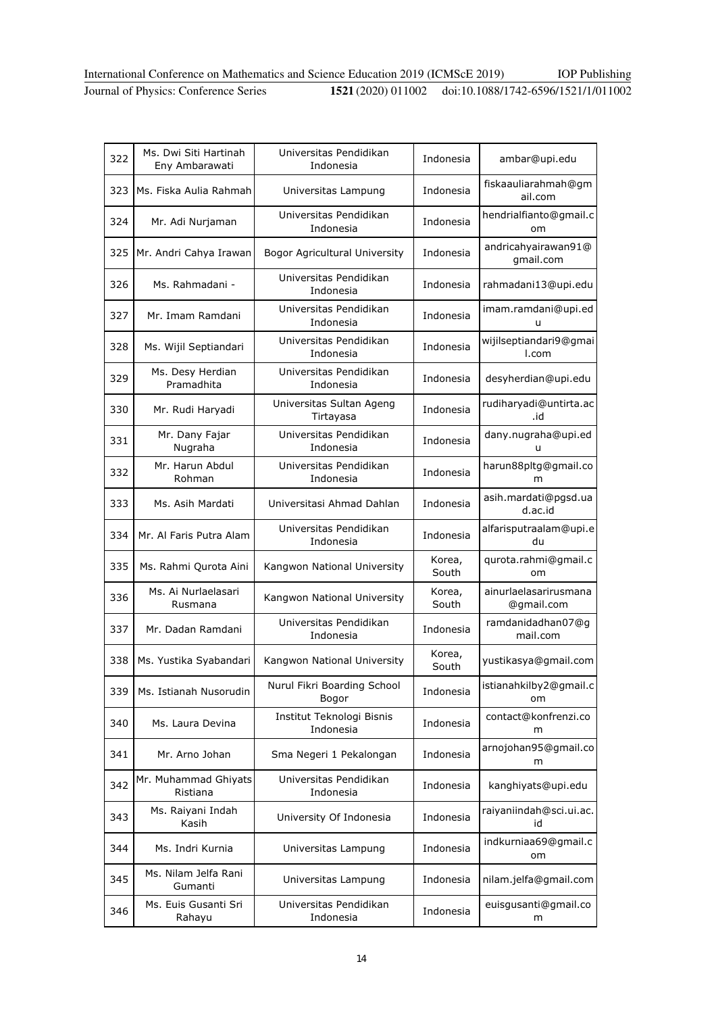| 322 | Ms. Dwi Siti Hartinah<br>Eny Ambarawati | Universitas Pendidikan<br>Indonesia    |                 | ambar@upi.edu                       |
|-----|-----------------------------------------|----------------------------------------|-----------------|-------------------------------------|
| 323 | Ms. Fiska Aulia Rahmah                  | Universitas Lampung                    | Indonesia       | fiskaauliarahmah@gm<br>ail.com      |
| 324 | Mr. Adi Nurjaman                        | Universitas Pendidikan<br>Indonesia    | Indonesia       | hendrialfianto@gmail.c<br>om        |
| 325 | Mr. Andri Cahya Irawan                  | Bogor Agricultural University          | Indonesia       | andricahyairawan91@<br>gmail.com    |
| 326 | Ms. Rahmadani -                         | Universitas Pendidikan<br>Indonesia    | Indonesia       | rahmadani13@upi.edu                 |
| 327 | Mr. Imam Ramdani                        | Universitas Pendidikan<br>Indonesia    | Indonesia       | imam.ramdani@upi.ed<br>u            |
| 328 | Ms. Wijil Septiandari                   | Universitas Pendidikan<br>Indonesia    | Indonesia       | wijilseptiandari9@gmai<br>I.com     |
| 329 | Ms. Desy Herdian<br>Pramadhita          | Universitas Pendidikan<br>Indonesia    | Indonesia       | desyherdian@upi.edu                 |
| 330 | Mr. Rudi Haryadi                        | Universitas Sultan Ageng<br>Tirtayasa  | Indonesia       | rudiharyadi@untirta.ac<br>.id       |
| 331 | Mr. Dany Fajar<br>Nugraha               | Universitas Pendidikan<br>Indonesia    | Indonesia       | dany.nugraha@upi.ed<br>u            |
| 332 | Mr. Harun Abdul<br>Rohman               | Universitas Pendidikan<br>Indonesia    | Indonesia       | harun88pltg@gmail.co<br>m           |
| 333 | Ms. Asih Mardati                        | Universitasi Ahmad Dahlan              | Indonesia       | asih.mardati@pgsd.ua<br>d.ac.id     |
| 334 | Mr. Al Faris Putra Alam                 | Universitas Pendidikan<br>Indonesia    | Indonesia       | alfarisputraalam@upi.e<br>du        |
| 335 | Ms. Rahmi Qurota Aini                   | Kangwon National University            | Korea,<br>South | qurota.rahmi@gmail.c<br>om          |
| 336 | Ms. Ai Nurlaelasari<br>Rusmana          | Kangwon National University            | Korea,<br>South | ainurlaelasarirusmana<br>@gmail.com |
| 337 | Mr. Dadan Ramdani                       | Universitas Pendidikan<br>Indonesia    | Indonesia       | ramdanidadhan07@g<br>mail.com       |
| 338 | Ms. Yustika Syabandari                  | Kangwon National University            | Korea,<br>South | yustikasya@gmail.com                |
| 339 | Ms. Istianah Nusorudin                  | Nurul Fikri Boarding School<br>Bogor   | Indonesia       | istianahkilby2@gmail.c<br>om        |
| 340 | Ms. Laura Devina                        | Institut Teknologi Bisnis<br>Indonesia | Indonesia       | contact@konfrenzi.co<br>m           |
| 341 | Mr. Arno Johan                          | Sma Negeri 1 Pekalongan                | Indonesia       | arnojohan95@gmail.co<br>m           |
| 342 | Mr. Muhammad Ghiyats<br>Ristiana        | Universitas Pendidikan<br>Indonesia    | Indonesia       | kanghiyats@upi.edu                  |
| 343 | Ms. Raiyani Indah<br>Kasih              | University Of Indonesia                | Indonesia       | raiyaniindah@sci.ui.ac.<br>id       |
| 344 | Ms. Indri Kurnia                        | Universitas Lampung                    | Indonesia       | indkurniaa69@gmail.c<br>om          |
| 345 | Ms. Nilam Jelfa Rani<br>Gumanti         | Universitas Lampung                    | Indonesia       | nilam.jelfa@gmail.com               |
| 346 | Ms. Euis Gusanti Sri<br>Rahayu          | Universitas Pendidikan<br>Indonesia    | Indonesia       | euisgusanti@gmail.co<br>m           |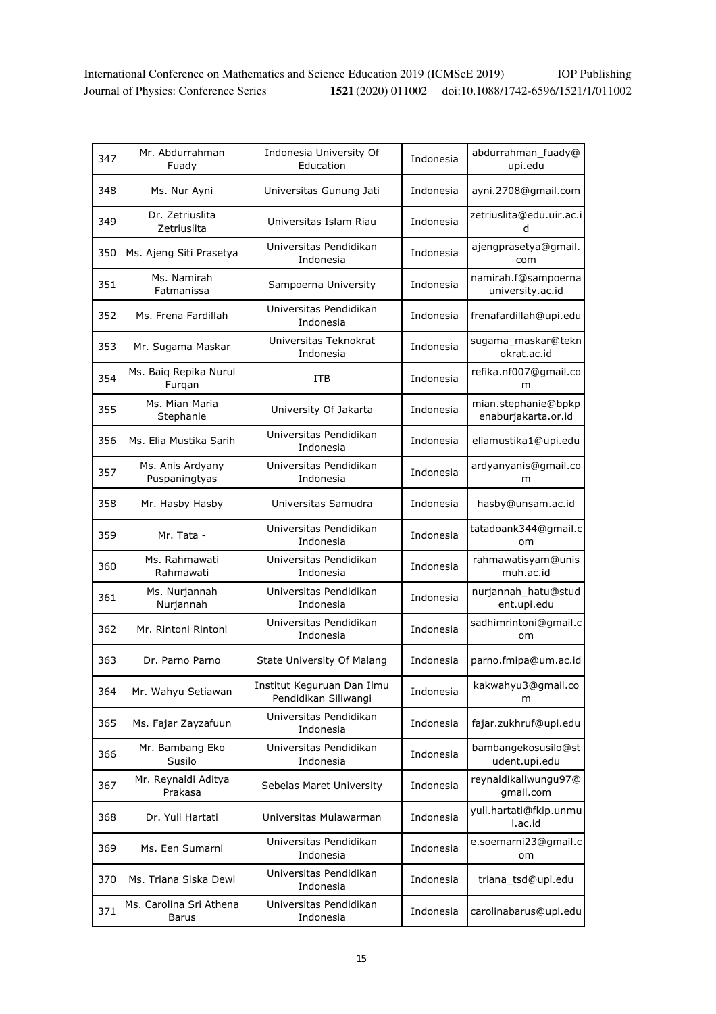| 347 | Mr. Abdurrahman<br>Fuady                | Indonesia University Of<br>Education               | Indonesia | abdurrahman_fuady@<br>upi.edu              |  |
|-----|-----------------------------------------|----------------------------------------------------|-----------|--------------------------------------------|--|
| 348 | Ms. Nur Ayni                            | Universitas Gunung Jati                            | Indonesia | ayni.2708@gmail.com                        |  |
| 349 | Dr. Zetriuslita<br>Zetriuslita          | Universitas Islam Riau                             | Indonesia | zetriuslita@edu.uir.ac.i<br>d              |  |
| 350 | Ms. Ajeng Siti Prasetya                 | Universitas Pendidikan<br>Indonesia                | Indonesia | ajengprasetya@gmail.<br>com                |  |
| 351 | Ms. Namirah<br>Fatmanissa               | Sampoerna University                               | Indonesia | namirah.f@sampoerna<br>university.ac.id    |  |
| 352 | Ms. Frena Fardillah                     | Universitas Pendidikan<br>Indonesia                | Indonesia | frenafardillah@upi.edu                     |  |
| 353 | Mr. Sugama Maskar                       | Universitas Teknokrat<br>Indonesia                 | Indonesia | sugama maskar@tekn<br>okrat.ac.id          |  |
| 354 | Ms. Baiq Repika Nurul<br>Furqan         | ITB                                                | Indonesia | refika.nf007@gmail.co<br>m                 |  |
| 355 | Ms. Mian Maria<br>Stephanie             | University Of Jakarta                              | Indonesia | mian.stephanie@bpkp<br>enaburjakarta.or.id |  |
| 356 | Ms. Elia Mustika Sarih                  | Universitas Pendidikan<br>Indonesia                | Indonesia | eliamustika1@upi.edu                       |  |
| 357 | Ms. Anis Ardyany<br>Puspaningtyas       | Universitas Pendidikan<br>Indonesia                | Indonesia | ardyanyanis@gmail.co<br>m                  |  |
| 358 | Mr. Hasby Hasby                         | Universitas Samudra                                | Indonesia | hasby@unsam.ac.id                          |  |
| 359 | Mr. Tata -                              | Universitas Pendidikan<br>Indonesia                | Indonesia | tatadoank344@gmail.c<br>om                 |  |
| 360 | Ms. Rahmawati<br>Rahmawati              | Universitas Pendidikan<br>Indonesia                | Indonesia | rahmawatisyam@unis<br>muh.ac.id            |  |
| 361 | Ms. Nurjannah<br>Nurjannah              | Universitas Pendidikan<br>Indonesia                | Indonesia | nurjannah_hatu@stud<br>ent.upi.edu         |  |
| 362 | Mr. Rintoni Rintoni                     | Universitas Pendidikan<br>Indonesia                | Indonesia | sadhimrintoni@gmail.c<br>om                |  |
| 363 | Dr. Parno Parno                         | State University Of Malang                         | Indonesia | parno.fmipa@um.ac.id                       |  |
| 364 | Mr. Wahyu Setiawan                      | Institut Keguruan Dan Ilmu<br>Pendidikan Siliwangi | Indonesia | kakwahyu3@gmail.co<br>m                    |  |
| 365 | Ms. Fajar Zayzafuun                     | Universitas Pendidikan<br>Indonesia                | Indonesia | fajar.zukhruf@upi.edu                      |  |
| 366 | Mr. Bambang Eko<br>Susilo               | Universitas Pendidikan<br>Indonesia                | Indonesia | bambangekosusilo@st<br>udent.upi.edu       |  |
| 367 | Mr. Reynaldi Aditya<br>Prakasa          | Sebelas Maret University                           | Indonesia | reynaldikaliwungu97@<br>gmail.com          |  |
| 368 | Dr. Yuli Hartati                        | Universitas Mulawarman                             | Indonesia | yuli.hartati@fkip.unmu<br>l.ac.id          |  |
| 369 | Ms. Een Sumarni                         | Universitas Pendidikan<br>Indonesia                | Indonesia | e.soemarni23@gmail.c<br>om                 |  |
| 370 | Ms. Triana Siska Dewi                   | Universitas Pendidikan<br>Indonesia                | Indonesia | triana_tsd@upi.edu                         |  |
| 371 | Ms. Carolina Sri Athena<br><b>Barus</b> | Universitas Pendidikan<br>Indonesia                | Indonesia | carolinabarus@upi.edu                      |  |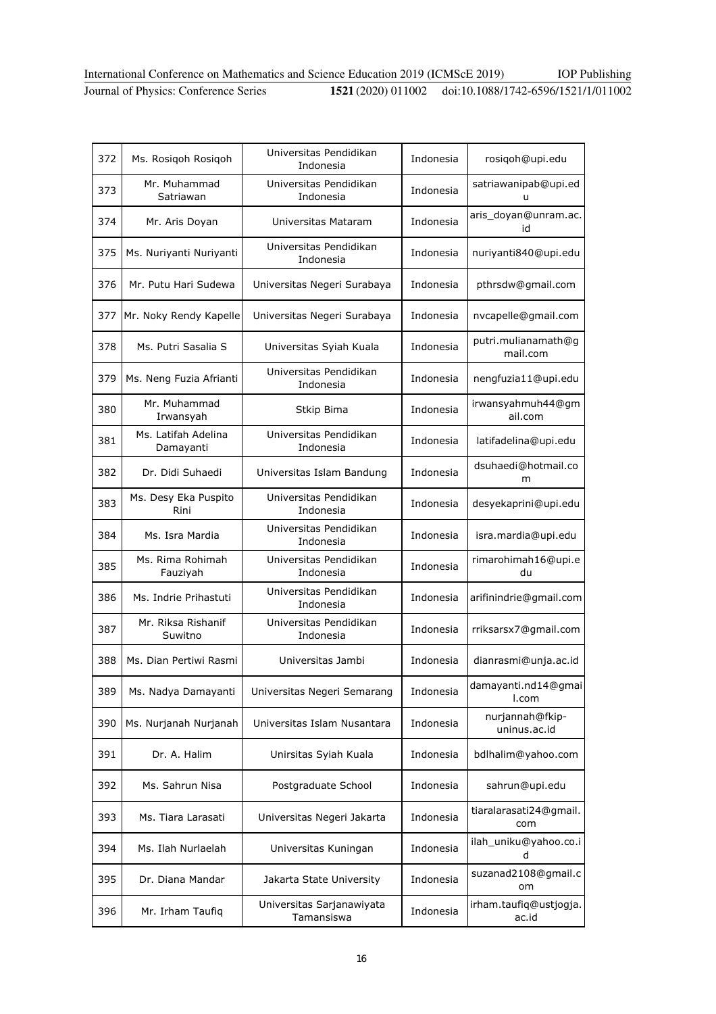| 372 | Ms. Rosiqoh Rosiqoh              | Universitas Pendidikan<br>Indonesia     | Indonesia | rosiqoh@upi.edu                 |  |
|-----|----------------------------------|-----------------------------------------|-----------|---------------------------------|--|
| 373 | Mr. Muhammad<br>Satriawan        | Universitas Pendidikan<br>Indonesia     | Indonesia | satriawanipab@upi.ed<br>u       |  |
| 374 | Mr. Aris Doyan                   | Universitas Mataram                     | Indonesia | aris_doyan@unram.ac.<br>id      |  |
| 375 | Ms. Nuriyanti Nuriyanti          | Universitas Pendidikan<br>Indonesia     | Indonesia | nuriyanti840@upi.edu            |  |
| 376 | Mr. Putu Hari Sudewa             | Universitas Negeri Surabaya             | Indonesia | pthrsdw@gmail.com               |  |
| 377 | Mr. Noky Rendy Kapelle           | Universitas Negeri Surabaya             | Indonesia | nvcapelle@gmail.com             |  |
| 378 | Ms. Putri Sasalia S              | Universitas Syiah Kuala                 | Indonesia | putri.mulianamath@q<br>mail.com |  |
| 379 | Ms. Neng Fuzia Afrianti          | Universitas Pendidikan<br>Indonesia     | Indonesia | nengfuzia11@upi.edu             |  |
| 380 | Mr. Muhammad<br>Irwansyah        | Stkip Bima                              | Indonesia | irwansyahmuh44@gm<br>ail.com    |  |
| 381 | Ms. Latifah Adelina<br>Damayanti | Universitas Pendidikan<br>Indonesia     | Indonesia | latifadelina@upi.edu            |  |
| 382 | Dr. Didi Suhaedi                 | Universitas Islam Bandung               | Indonesia | dsuhaedi@hotmail.co<br>m        |  |
| 383 | Ms. Desy Eka Puspito<br>Rini     | Universitas Pendidikan<br>Indonesia     | Indonesia | desyekaprini@upi.edu            |  |
| 384 | Ms. Isra Mardia                  | Universitas Pendidikan<br>Indonesia     | Indonesia | isra.mardia@upi.edu             |  |
| 385 | Ms. Rima Rohimah<br>Fauziyah     | Universitas Pendidikan<br>Indonesia     | Indonesia | rimarohimah16@upi.e<br>du       |  |
| 386 | Ms. Indrie Prihastuti            | Universitas Pendidikan<br>Indonesia     | Indonesia | arifinindrie@gmail.com          |  |
| 387 | Mr. Riksa Rishanif<br>Suwitno    | Universitas Pendidikan<br>Indonesia     | Indonesia | rriksarsx7@gmail.com            |  |
| 388 | Ms. Dian Pertiwi Rasmi           | Universitas Jambi                       | Indonesia | dianrasmi@unja.ac.id            |  |
| 389 | Ms. Nadya Damayanti              | Universitas Negeri Semarang             | Indonesia | damayanti.nd14@gmai<br>I.com    |  |
| 390 | Ms. Nurjanah Nurjanah            | Universitas Islam Nusantara             | Indonesia | nurjannah@fkip-<br>uninus.ac.id |  |
| 391 | Dr. A. Halim                     | Unirsitas Syiah Kuala                   | Indonesia | bdlhalim@yahoo.com              |  |
| 392 | Ms. Sahrun Nisa                  | Postgraduate School                     | Indonesia | sahrun@upi.edu                  |  |
| 393 | Ms. Tiara Larasati               | Universitas Negeri Jakarta              | Indonesia | tiaralarasati24@gmail.<br>com   |  |
| 394 | Ms. Ilah Nurlaelah               | Universitas Kuningan                    | Indonesia | ilah_uniku@yahoo.co.i<br>d      |  |
| 395 | Dr. Diana Mandar                 | Jakarta State University                | Indonesia | suzanad2108@gmail.c<br>om       |  |
| 396 | Mr. Irham Taufiq                 | Universitas Sarjanawiyata<br>Tamansiswa | Indonesia | irham.taufiq@ustjogja.<br>ac.id |  |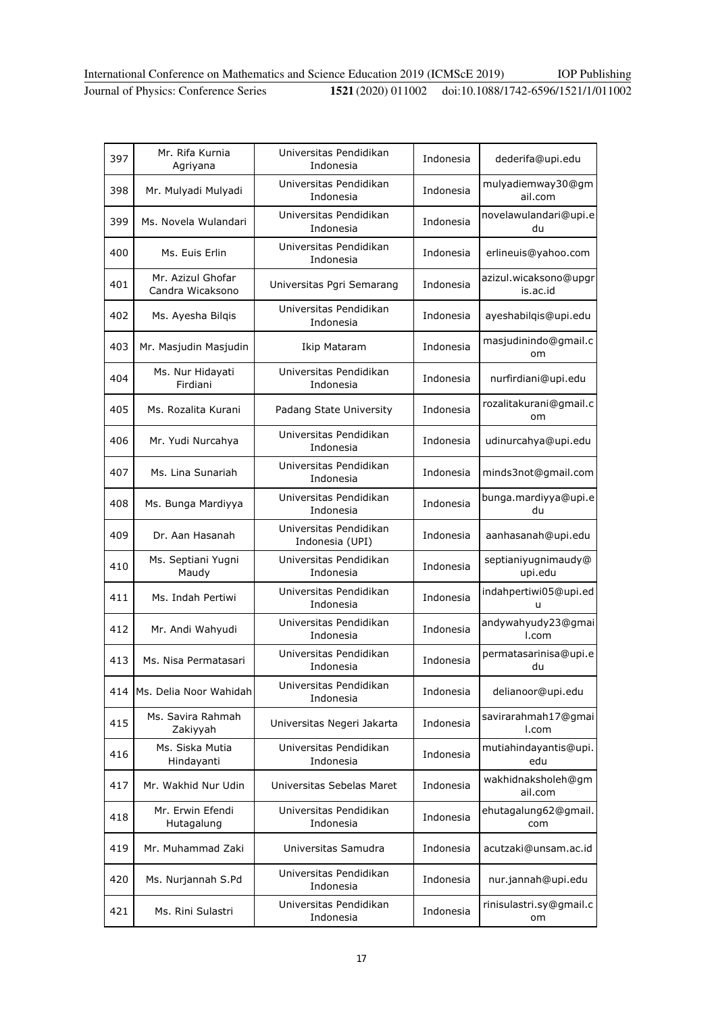IOP Publishing

|  | Journal of Physics: Conference Series |  |
|--|---------------------------------------|--|
|  |                                       |  |

# Journal of Physics: Conference Series **1521** (2020) 011002 doi:10.1088/1742-6596/1521/1/011002

| 397 | Mr. Rifa Kurnia<br>Agriyana           | Universitas Pendidikan<br>Indonesia       | Indonesia | dederifa@upi.edu                  |
|-----|---------------------------------------|-------------------------------------------|-----------|-----------------------------------|
| 398 | Mr. Mulyadi Mulyadi                   | Universitas Pendidikan<br>Indonesia       | Indonesia | mulyadiemway30@gm<br>ail.com      |
| 399 | Ms. Novela Wulandari                  | Universitas Pendidikan<br>Indonesia       | Indonesia | novelawulandari@upi.e<br>du       |
| 400 | Ms. Euis Erlin                        | Universitas Pendidikan<br>Indonesia       | Indonesia | erlineuis@yahoo.com               |
| 401 | Mr. Azizul Ghofar<br>Candra Wicaksono | Universitas Pgri Semarang                 | Indonesia | azizul.wicaksono@upgr<br>is.ac.id |
| 402 | Ms. Ayesha Bilqis                     | Universitas Pendidikan<br>Indonesia       | Indonesia | ayeshabilqis@upi.edu              |
| 403 | Mr. Masjudin Masjudin                 | Ikip Mataram                              | Indonesia | masjudinindo@gmail.c<br>om        |
| 404 | Ms. Nur Hidayati<br>Firdiani          | Universitas Pendidikan<br>Indonesia       | Indonesia | nurfirdiani@upi.edu               |
| 405 | Ms. Rozalita Kurani                   | Padang State University                   | Indonesia | rozalitakurani@gmail.c<br>om      |
| 406 | Mr. Yudi Nurcahya                     | Universitas Pendidikan<br>Indonesia       | Indonesia | udinurcahya@upi.edu               |
| 407 | Ms. Lina Sunariah                     | Universitas Pendidikan<br>Indonesia       | Indonesia | minds3not@gmail.com               |
| 408 | Ms. Bunga Mardiyya                    | Universitas Pendidikan<br>Indonesia       | Indonesia | bunga.mardiyya@upi.e<br>du        |
| 409 | Dr. Aan Hasanah                       | Universitas Pendidikan<br>Indonesia (UPI) | Indonesia | aanhasanah@upi.edu                |
| 410 | Ms. Septiani Yugni<br>Maudy           | Universitas Pendidikan<br>Indonesia       | Indonesia | septianiyugnimaudy@<br>upi.edu    |
| 411 | Ms. Indah Pertiwi                     | Universitas Pendidikan<br>Indonesia       | Indonesia | indahpertiwi05@upi.ed<br>u        |
| 412 | Mr. Andi Wahyudi                      | Universitas Pendidikan<br>Indonesia       | Indonesia | andywahyudy23@gmai<br>I.com       |
| 413 | Ms. Nisa Permatasari                  | Universitas Pendidikan<br>Indonesia       | Indonesia | permatasarinisa@upi.e<br>du       |
| 414 | Ms. Delia Noor Wahidah                | Universitas Pendidikan<br>Indonesia       | Indonesia | delianoor@upi.edu                 |
| 415 | Ms. Savira Rahmah<br>Zakiyyah         | Universitas Negeri Jakarta                | Indonesia | savirarahmah17@gmai<br>I.com      |
| 416 | Ms. Siska Mutia<br>Hindayanti         | Universitas Pendidikan<br>Indonesia       | Indonesia | mutiahindayantis@upi.<br>edu      |
| 417 | Mr. Wakhid Nur Udin                   | Universitas Sebelas Maret                 | Indonesia | wakhidnaksholeh@gm<br>ail.com     |
| 418 | Mr. Erwin Efendi<br>Hutagalung        | Universitas Pendidikan<br>Indonesia       | Indonesia | ehutagalung 62@gmail.<br>com      |
| 419 | Mr. Muhammad Zaki                     | Universitas Samudra                       | Indonesia | acutzaki@unsam.ac.id              |
| 420 | Ms. Nurjannah S.Pd                    | Universitas Pendidikan<br>Indonesia       | Indonesia | nur.jannah@upi.edu                |
| 421 | Ms. Rini Sulastri                     | Universitas Pendidikan<br>Indonesia       | Indonesia | rinisulastri.sy@gmail.c<br>om     |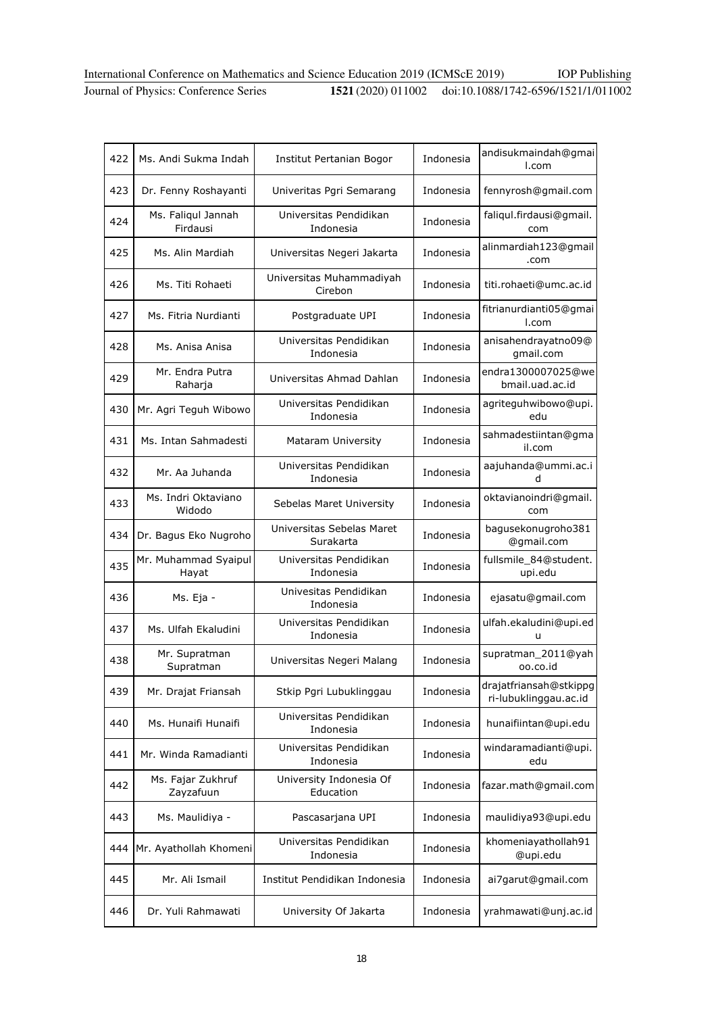1521 (2020) 011002 doi:10.1088/1742-6596/1521/1/011002

| 422 | Ms. Andi Sukma Indah           | Institut Pertanian Bogor               | Indonesia | andisukmaindah@gmai<br>I.com                    |
|-----|--------------------------------|----------------------------------------|-----------|-------------------------------------------------|
| 423 | Dr. Fenny Roshayanti           | Univeritas Pgri Semarang               | Indonesia | fennyrosh@gmail.com                             |
| 424 | Ms. Faliqul Jannah<br>Firdausi | Universitas Pendidikan<br>Indonesia    | Indonesia | faliqul.firdausi@gmail.<br>com                  |
| 425 | Ms. Alin Mardiah               | Universitas Negeri Jakarta             | Indonesia | alinmardiah123@gmail<br>.com                    |
| 426 | Ms. Titi Rohaeti               | Universitas Muhammadiyah<br>Cirebon    | Indonesia | titi.rohaeti@umc.ac.id                          |
| 427 | Ms. Fitria Nurdianti           | Postgraduate UPI                       | Indonesia | fitrianurdianti05@gmai<br>I.com                 |
| 428 | Ms. Anisa Anisa                | Universitas Pendidikan<br>Indonesia    | Indonesia | anisahendrayatno09@<br>gmail.com                |
| 429 | Mr. Endra Putra<br>Raharja     | Universitas Ahmad Dahlan               | Indonesia | endra1300007025@we<br>bmail.uad.ac.id           |
| 430 | Mr. Agri Teguh Wibowo          | Universitas Pendidikan<br>Indonesia    | Indonesia | agriteguhwibowo@upi.<br>edu                     |
| 431 | Ms. Intan Sahmadesti           | Mataram University                     | Indonesia | sahmadestiintan@gma<br>il.com                   |
| 432 | Mr. Aa Juhanda                 | Universitas Pendidikan<br>Indonesia    | Indonesia | aajuhanda@ummi.ac.i<br>d                        |
| 433 | Ms. Indri Oktaviano<br>Widodo  | Sebelas Maret University               | Indonesia | oktavianoindri@gmail.<br>com                    |
| 434 | Dr. Bagus Eko Nugroho          | Universitas Sebelas Maret<br>Surakarta | Indonesia | bagusekonugroho381<br>@gmail.com                |
| 435 | Mr. Muhammad Syaipul<br>Hayat  | Universitas Pendidikan<br>Indonesia    | Indonesia | fullsmile_84@student.<br>upi.edu                |
| 436 | Ms. Eja -                      | Univesitas Pendidikan<br>Indonesia     | Indonesia | ejasatu@gmail.com                               |
| 437 | Ms. Ulfah Ekaludini            | Universitas Pendidikan<br>Indonesia    | Indonesia | ulfah.ekaludini@upi.ed<br>u                     |
| 438 | Mr. Supratman<br>Supratman     | Universitas Negeri Malang              | Indonesia | supratman_2011@yah<br>oo.co.id                  |
| 439 | Mr. Drajat Friansah            | Stkip Pgri Lubuklinggau                | Indonesia | drajatfriansah@stkippg<br>ri-lubuklinggau.ac.id |
| 440 | Ms. Hunaifi Hunaifi            | Universitas Pendidikan<br>Indonesia    | Indonesia | hunaifiintan@upi.edu                            |
| 441 | Mr. Winda Ramadianti           | Universitas Pendidikan<br>Indonesia    | Indonesia | windaramadianti@upi.<br>edu                     |
| 442 | Ms. Fajar Zukhruf<br>Zayzafuun | University Indonesia Of<br>Education   | Indonesia | fazar.math@gmail.com                            |
| 443 | Ms. Maulidiya -                | Pascasarjana UPI                       | Indonesia | maulidiya93@upi.edu                             |
| 444 | Mr. Ayathollah Khomeni         | Universitas Pendidikan<br>Indonesia    | Indonesia | khomeniayathollah91<br>@upi.edu                 |
| 445 | Mr. Ali Ismail                 | Institut Pendidikan Indonesia          | Indonesia | ai7garut@gmail.com                              |
| 446 | Dr. Yuli Rahmawati             | University Of Jakarta                  | Indonesia | yrahmawati@unj.ac.id                            |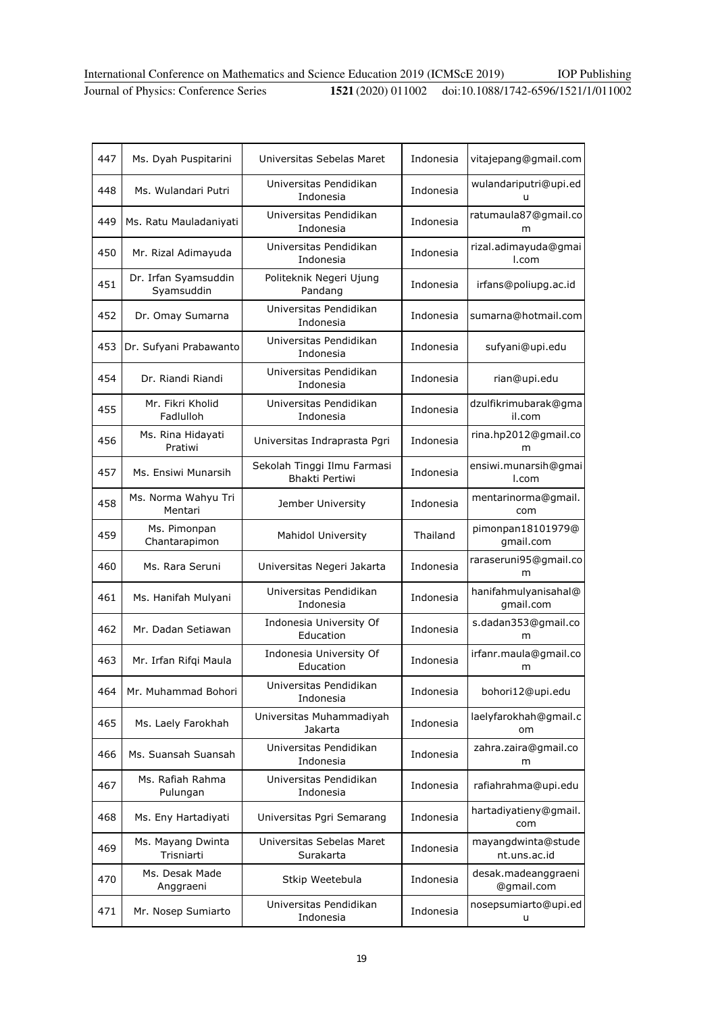# 1521 (2020) 011002 doi:10.1088/1742-6596/1521/1/011002

| 447 | Ms. Dyah Puspitarini               | Universitas Sebelas Maret                            | Indonesia | vitajepang@gmail.com               |
|-----|------------------------------------|------------------------------------------------------|-----------|------------------------------------|
| 448 | Ms. Wulandari Putri                | Universitas Pendidikan<br>Indonesia                  | Indonesia | wulandariputri@upi.ed<br>u         |
| 449 | Ms. Ratu Mauladaniyati             | Universitas Pendidikan<br>Indonesia                  | Indonesia | ratumaula87@gmail.co<br>m          |
| 450 | Mr. Rizal Adimayuda                | Universitas Pendidikan<br>Indonesia                  | Indonesia | rizal.adimayuda@gmai<br>I.com      |
| 451 | Dr. Irfan Syamsuddin<br>Syamsuddin | Politeknik Negeri Ujung<br>Pandang                   | Indonesia | irfans@poliupg.ac.id               |
| 452 | Dr. Omay Sumarna                   | Universitas Pendidikan<br>Indonesia                  | Indonesia | sumarna@hotmail.com                |
| 453 | Dr. Sufyani Prabawanto             | Universitas Pendidikan<br>Indonesia                  | Indonesia | sufyani@upi.edu                    |
| 454 | Dr. Riandi Riandi                  | Universitas Pendidikan<br>Indonesia                  | Indonesia | rian@upi.edu                       |
| 455 | Mr. Fikri Kholid<br>Fadlulloh      | Universitas Pendidikan<br>Indonesia                  | Indonesia | dzulfikrimubarak@gma<br>il.com     |
| 456 | Ms. Rina Hidayati<br>Pratiwi       | Universitas Indraprasta Pgri                         | Indonesia | rina.hp2012@gmail.co<br>m          |
| 457 | Ms. Ensiwi Munarsih                | Sekolah Tinggi Ilmu Farmasi<br><b>Bhakti Pertiwi</b> | Indonesia | ensiwi.munarsih@gmai<br>I.com      |
| 458 | Ms. Norma Wahyu Tri<br>Mentari     | Jember University                                    | Indonesia | mentarinorma@gmail.<br>com         |
| 459 | Ms. Pimonpan<br>Chantarapimon      | <b>Mahidol University</b>                            | Thailand  | pimonpan18101979@<br>qmail.com     |
| 460 | Ms. Rara Seruni                    | Universitas Negeri Jakarta                           | Indonesia | raraseruni95@gmail.co<br>m         |
| 461 | Ms. Hanifah Mulyani                | Universitas Pendidikan<br>Indonesia                  | Indonesia | hanifahmulyanisahal@<br>gmail.com  |
| 462 | Mr. Dadan Setiawan                 | Indonesia University Of<br>Education                 | Indonesia | s.dadan353@gmail.co<br>m           |
| 463 | Mr. Irfan Rifqi Maula              | Indonesia University Of<br>Education                 | Indonesia | irfanr.maula@gmail.co<br>m         |
| 464 | Mr. Muhammad Bohori                | Universitas Pendidikan<br>Indonesia                  | Indonesia | bohori12@upi.edu                   |
| 465 | Ms. Laely Farokhah                 | Universitas Muhammadiyah<br>Jakarta                  | Indonesia | laelyfarokhah@gmail.c<br>om.       |
| 466 | Ms. Suansah Suansah                | Universitas Pendidikan<br>Indonesia                  | Indonesia | zahra.zaira@gmail.co<br>m          |
| 467 | Ms. Rafiah Rahma<br>Pulungan       | Universitas Pendidikan<br>Indonesia                  | Indonesia | rafiahrahma@upi.edu                |
| 468 | Ms. Eny Hartadiyati                | Universitas Pgri Semarang                            | Indonesia | hartadiyatieny@gmail.<br>com       |
| 469 | Ms. Mayang Dwinta<br>Trisniarti    | Universitas Sebelas Maret<br>Surakarta               | Indonesia | mayangdwinta@stude<br>nt.uns.ac.id |
| 470 | Ms. Desak Made<br>Anggraeni        | Stkip Weetebula                                      | Indonesia | desak.madeanggraeni<br>@gmail.com  |
| 471 | Mr. Nosep Sumiarto                 | Universitas Pendidikan<br>Indonesia                  | Indonesia | nosepsumiarto@upi.ed<br>u          |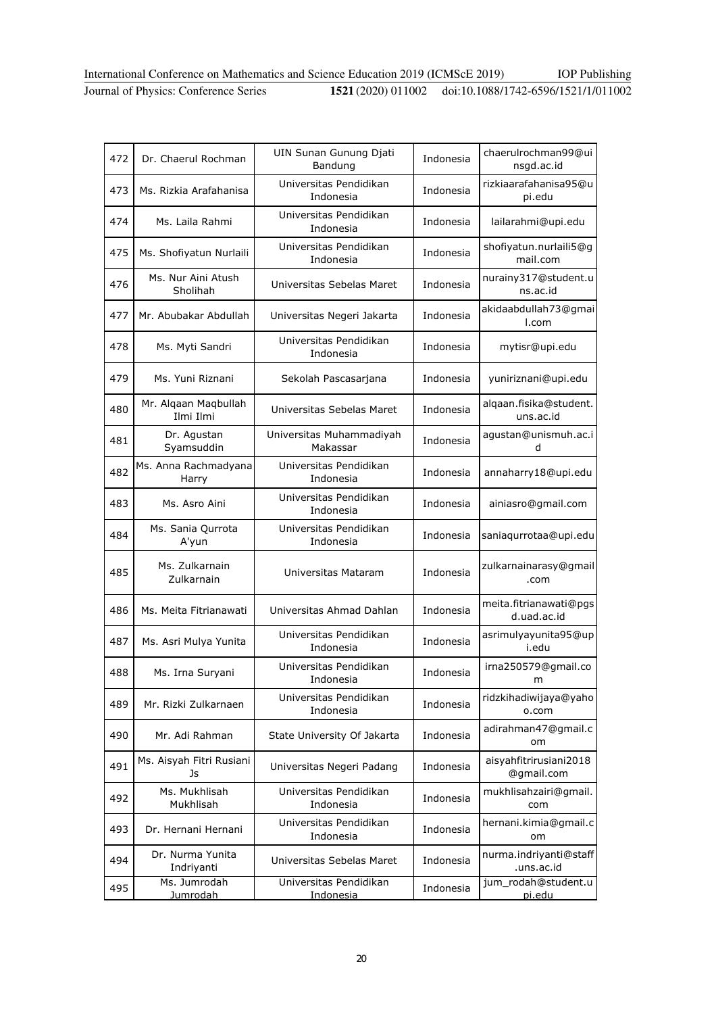|  | Journal of Physics: Conference Series |  |
|--|---------------------------------------|--|
|  |                                       |  |

# Journal of Physics: Conference Series **1521** (2020) 011002 doi:10.1088/1742-6596/1521/1/011002

| 472 | Dr. Chaerul Rochman               | UIN Sunan Gunung Djati<br>Bandung    | Indonesia | chaerulrochman99@ui<br>nsgd.ac.id     |
|-----|-----------------------------------|--------------------------------------|-----------|---------------------------------------|
| 473 | Ms. Rizkia Arafahanisa            | Universitas Pendidikan<br>Indonesia  | Indonesia | rizkiaarafahanisa95@u<br>pi.edu       |
| 474 | Ms. Laila Rahmi                   | Universitas Pendidikan<br>Indonesia  | Indonesia | lailarahmi@upi.edu                    |
| 475 | Ms. Shofiyatun Nurlaili           | Universitas Pendidikan<br>Indonesia  | Indonesia | shofiyatun.nurlaili5@g<br>mail.com    |
| 476 | Ms. Nur Aini Atush<br>Sholihah    | Universitas Sebelas Maret            | Indonesia | nurainy317@student.u<br>ns.ac.id      |
| 477 | Mr. Abubakar Abdullah             | Universitas Negeri Jakarta           | Indonesia | akidaabdullah73@gmai<br>I.com         |
| 478 | Ms. Myti Sandri                   | Universitas Pendidikan<br>Indonesia  | Indonesia | mytisr@upi.edu                        |
| 479 | Ms. Yuni Riznani                  | Sekolah Pascasarjana                 | Indonesia | yuniriznani@upi.edu                   |
| 480 | Mr. Alqaan Maqbullah<br>Ilmi Ilmi | Universitas Sebelas Maret            | Indonesia | alqaan.fisika@student.<br>uns.ac.id   |
| 481 | Dr. Agustan<br>Syamsuddin         | Universitas Muhammadiyah<br>Makassar | Indonesia | agustan@unismuh.ac.i<br>d             |
| 482 | Ms. Anna Rachmadyana<br>Harry     | Universitas Pendidikan<br>Indonesia  | Indonesia | annaharry18@upi.edu                   |
| 483 | Ms. Asro Aini                     | Universitas Pendidikan<br>Indonesia  | Indonesia | ainiasro@gmail.com                    |
| 484 | Ms. Sania Qurrota<br>A'yun        | Universitas Pendidikan<br>Indonesia  | Indonesia | saniaqurrotaa@upi.edu                 |
| 485 | Ms. Zulkarnain<br>Zulkarnain      | Universitas Mataram                  | Indonesia | zulkarnainarasy@gmail<br>.com         |
| 486 | Ms. Meita Fitrianawati            | Universitas Ahmad Dahlan             | Indonesia | meita.fitrianawati@pgs<br>d.uad.ac.id |
| 487 | Ms. Asri Mulya Yunita             | Universitas Pendidikan<br>Indonesia  | Indonesia | asrimulyayunita95@up<br>i.edu         |
| 488 | Ms. Irna Suryani                  | Universitas Pendidikan<br>Indonesia  | Indonesia | irna250579@gmail.co<br>m              |
| 489 | Mr. Rizki Zulkarnaen              | Universitas Pendidikan<br>Indonesia  | Indonesia | ridzkihadiwijaya@yaho<br>o.com        |
| 490 | Mr. Adi Rahman                    | State University Of Jakarta          | Indonesia | adirahman47@qmail.c<br>om             |
| 491 | Ms. Aisyah Fitri Rusiani<br>Js    | Universitas Negeri Padang            | Indonesia | aisyahfitrirusiani2018<br>@gmail.com  |
| 492 | Ms. Mukhlisah<br>Mukhlisah        | Universitas Pendidikan<br>Indonesia  | Indonesia | mukhlisahzairi@gmail.<br>com          |
| 493 | Dr. Hernani Hernani               | Universitas Pendidikan<br>Indonesia  | Indonesia | hernani.kimia@gmail.c<br>om           |
| 494 | Dr. Nurma Yunita<br>Indriyanti    | Universitas Sebelas Maret            | Indonesia | nurma.indriyanti@staff<br>.uns.ac.id  |
| 495 | Ms. Jumrodah<br>Jumrodah          | Universitas Pendidikan<br>Indonesia  | Indonesia | jum_rodah@student.u<br>pi.edu         |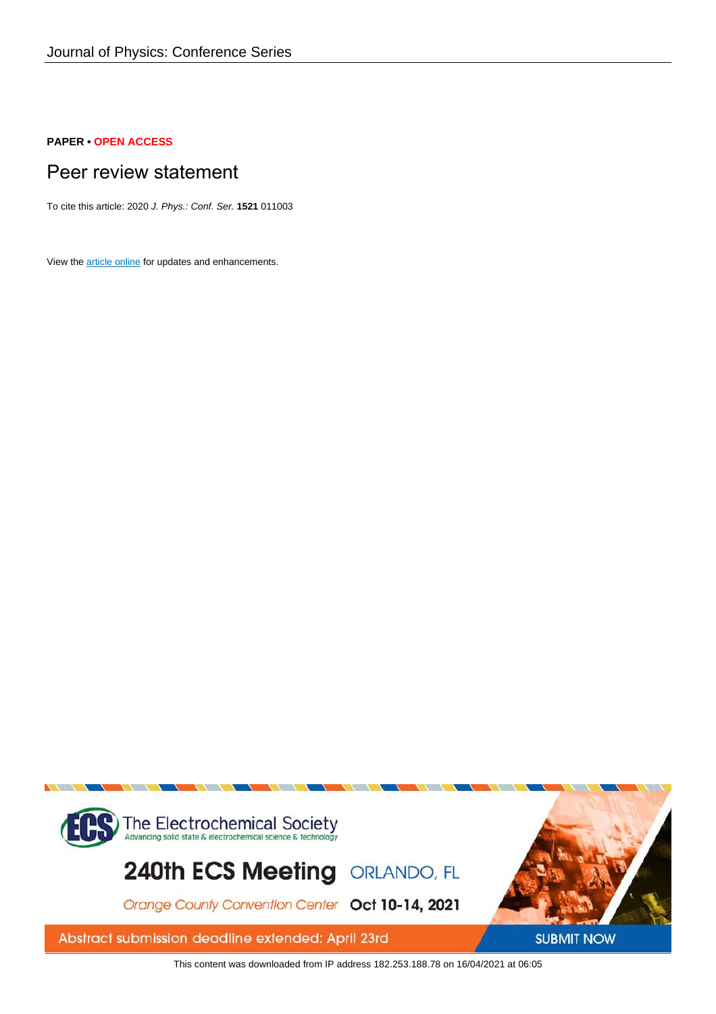# **PAPER • OPEN ACCESS**

# Peer review statement

To cite this article: 2020 J. Phys.: Conf. Ser. **1521** 011003

View the [article online](https://doi.org/10.1088/1742-6596/1521/1/011003) for updates and enhancements.



This content was downloaded from IP address 182.253.188.78 on 16/04/2021 at 06:05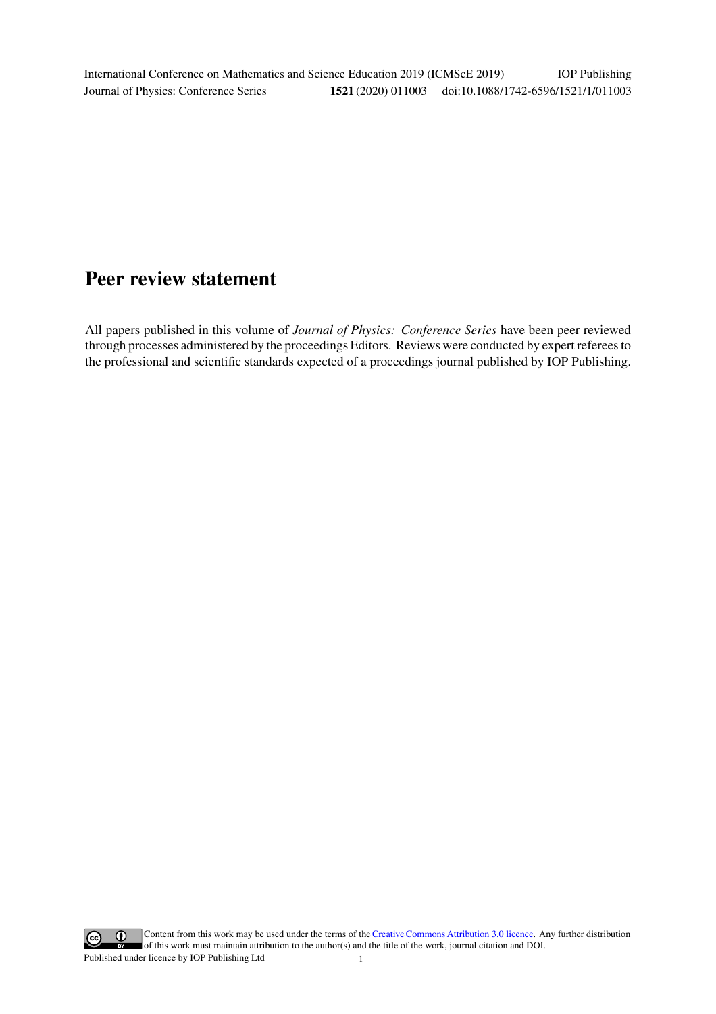# **Peer review statement**

All papers published in this volume of *Journal of Physics: Conference Series* have been peer reviewed through processes administered by the proceedings Editors. Reviews were conducted by expert referees to the professional and scientific standards expected of a proceedings journal published by IOP Publishing.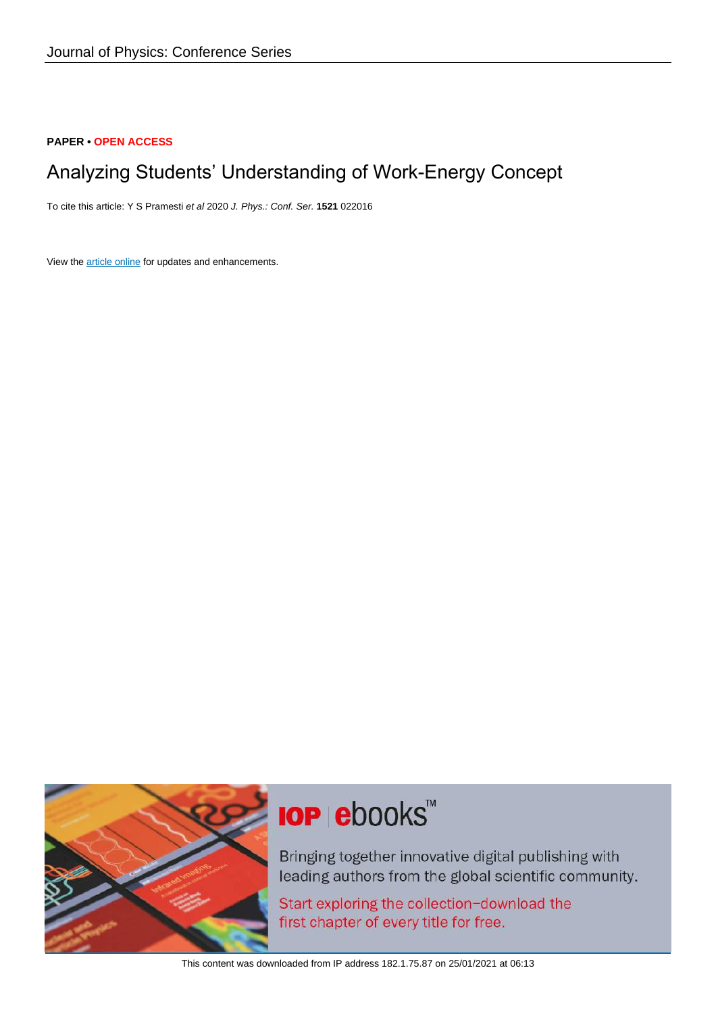# **PAPER • OPEN ACCESS**

# Analyzing Students' Understanding of Work-Energy Concept

To cite this article: Y S Pramesti et al 2020 J. Phys.: Conf. Ser. **1521** 022016

View the [article online](https://doi.org/10.1088/1742-6596/1521/2/022016) for updates and enhancements.



# **IOP ebooks**™

Bringing together innovative digital publishing with leading authors from the global scientific community.

Start exploring the collection-download the first chapter of every title for free.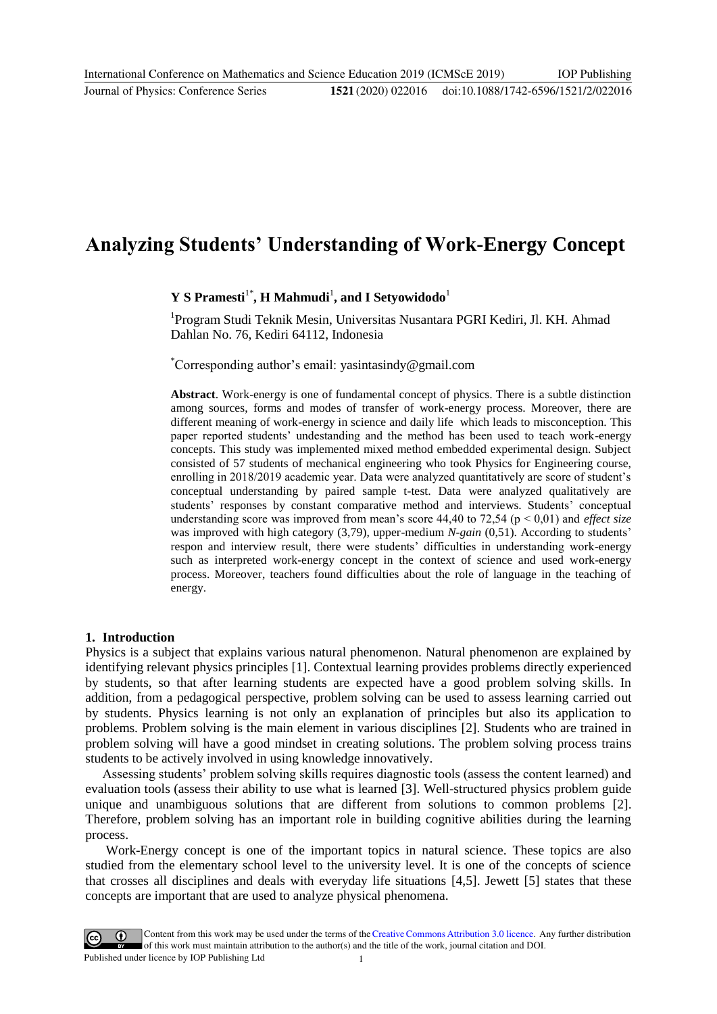# **Analyzing Students' Understanding of Work-Energy Concept**

# $\mathbf{Y} \mathbf{S}$  Pramesti $^{1*}$ , **H** Mahmudi $^{1}$ , and I Setyowidodo $^{1}$

1 Program Studi Teknik Mesin, Universitas Nusantara PGRI Kediri, Jl. KH. Ahmad Dahlan No. 76, Kediri 64112, Indonesia

\*Corresponding author's email: yasintasindy@gmail.com

**Abstract**. Work-energy is one of fundamental concept of physics. There is a subtle distinction among sources, forms and modes of transfer of work-energy process. Moreover, there are different meaning of work-energy in science and daily life which leads to misconception. This paper reported students' undestanding and the method has been used to teach work-energy concepts. This study was implemented mixed method embedded experimental design. Subject consisted of 57 students of mechanical engineering who took Physics for Engineering course, enrolling in 2018/2019 academic year. Data were analyzed quantitatively are score of student's conceptual understanding by paired sample t-test. Data were analyzed qualitatively are students' responses by constant comparative method and interviews. Students' conceptual understanding score was improved from mean's score 44,40 to 72,54 (p < 0,01) and *effect size* was improved with high category (3,79), upper-medium *N-gain* (0,51). According to students' respon and interview result, there were students' difficulties in understanding work-energy such as interpreted work-energy concept in the context of science and used work-energy process. Moreover, teachers found difficulties about the role of language in the teaching of energy.

# **1. Introduction**

Physics is a subject that explains various natural phenomenon. Natural phenomenon are explained by identifying relevant physics principles [1]. Contextual learning provides problems directly experienced by students, so that after learning students are expected have a good problem solving skills. In addition, from a pedagogical perspective, problem solving can be used to assess learning carried out by students. Physics learning is not only an explanation of principles but also its application to problems. Problem solving is the main element in various disciplines [2]. Students who are trained in problem solving will have a good mindset in creating solutions. The problem solving process trains students to be actively involved in using knowledge innovatively.

Assessing students' problem solving skills requires diagnostic tools (assess the content learned) and evaluation tools (assess their ability to use what is learned [3]. Well-structured physics problem guide unique and unambiguous solutions that are different from solutions to common problems [2]. Therefore, problem solving has an important role in building cognitive abilities during the learning process.

Work-Energy concept is one of the important topics in natural science. These topics are also studied from the elementary school level to the university level. It is one of the concepts of science that crosses all disciplines and deals with everyday life situations [4,5]. Jewett [5] states that these concepts are important that are used to analyze physical phenomena.

Content from this work may be used under the terms of the Creative Commons Attribution 3.0 licence. Any further distribution of this work must maintain attribution to the author(s) and the title of the work, journal citation and DOI. Published under licence by IOP Publishing Ltd 1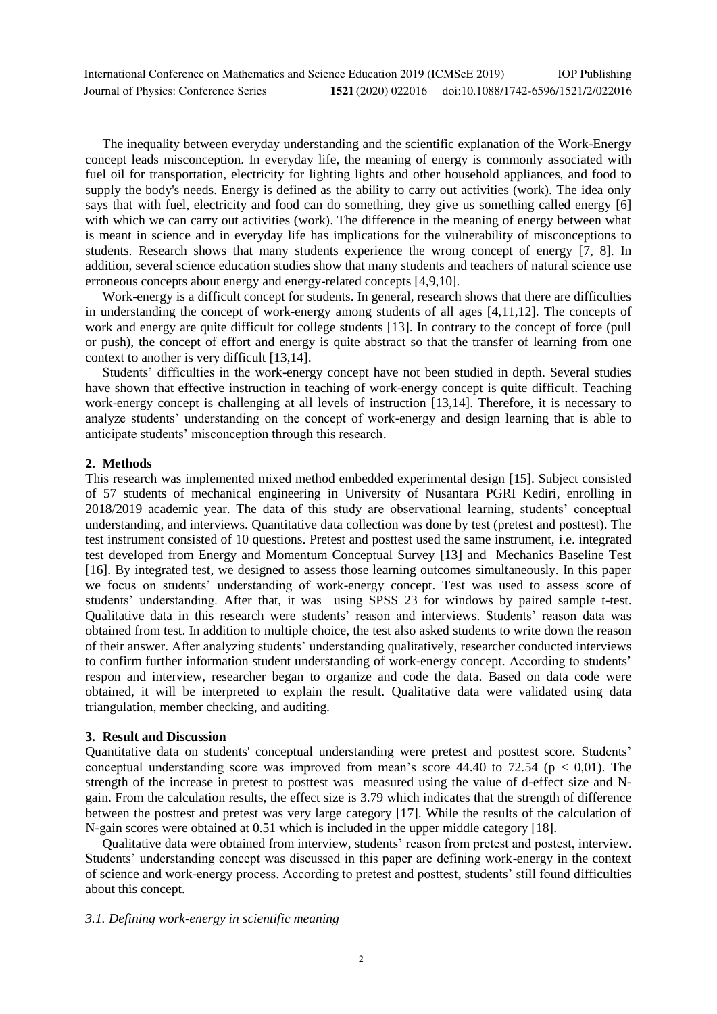| International Conference on Mathematics and Science Education 2019 (ICMScE 2019) |                    | <b>IOP</b> Publishing               |
|----------------------------------------------------------------------------------|--------------------|-------------------------------------|
| Journal of Physics: Conference Series                                            | 1521 (2020) 022016 | doi:10.1088/1742-6596/1521/2/022016 |

The inequality between everyday understanding and the scientific explanation of the Work-Energy concept leads misconception. In everyday life, the meaning of energy is commonly associated with fuel oil for transportation, electricity for lighting lights and other household appliances, and food to supply the body's needs. Energy is defined as the ability to carry out activities (work). The idea only says that with fuel, electricity and food can do something, they give us something called energy [6] with which we can carry out activities (work). The difference in the meaning of energy between what is meant in science and in everyday life has implications for the vulnerability of misconceptions to students. Research shows that many students experience the wrong concept of energy [7, 8]. In addition, several science education studies show that many students and teachers of natural science use erroneous concepts about energy and energy-related concepts [4,9,10].

Work-energy is a difficult concept for students. In general, research shows that there are difficulties in understanding the concept of work-energy among students of all ages [4,11,12]. The concepts of work and energy are quite difficult for college students [13]. In contrary to the concept of force (pull or push), the concept of effort and energy is quite abstract so that the transfer of learning from one context to another is very difficult [13,14].

Students' difficulties in the work-energy concept have not been studied in depth. Several studies have shown that effective instruction in teaching of work-energy concept is quite difficult. Teaching work-energy concept is challenging at all levels of instruction [13,14]. Therefore, it is necessary to analyze students' understanding on the concept of work-energy and design learning that is able to anticipate students' misconception through this research.

#### **2. Methods**

This research was implemented mixed method embedded experimental design [15]. Subject consisted of 57 students of mechanical engineering in University of Nusantara PGRI Kediri, enrolling in 2018/2019 academic year. The data of this study are observational learning, students' conceptual understanding, and interviews. Quantitative data collection was done by test (pretest and posttest). The test instrument consisted of 10 questions. Pretest and posttest used the same instrument, i.e. integrated test developed from Energy and Momentum Conceptual Survey [13] and Mechanics Baseline Test [16]. By integrated test, we designed to assess those learning outcomes simultaneously. In this paper we focus on students' understanding of work-energy concept. Test was used to assess score of students' understanding. After that, it was using SPSS 23 for windows by paired sample t-test. Qualitative data in this research were students' reason and interviews. Students' reason data was obtained from test. In addition to multiple choice, the test also asked students to write down the reason of their answer. After analyzing students' understanding qualitatively, researcher conducted interviews to confirm further information student understanding of work-energy concept. According to students' respon and interview, researcher began to organize and code the data. Based on data code were obtained, it will be interpreted to explain the result. Qualitative data were validated using data triangulation, member checking, and auditing.

#### **3. Result and Discussion**

Quantitative data on students' conceptual understanding were pretest and posttest score. Students' conceptual understanding score was improved from mean's score  $44.40$  to  $72.54$  ( $p < 0.01$ ). The strength of the increase in pretest to posttest was measured using the value of d-effect size and Ngain. From the calculation results, the effect size is 3.79 which indicates that the strength of difference between the posttest and pretest was very large category [17]. While the results of the calculation of N-gain scores were obtained at 0.51 which is included in the upper middle category [18].

Qualitative data were obtained from interview, students' reason from pretest and postest, interview. Students' understanding concept was discussed in this paper are defining work-energy in the context of science and work-energy process. According to pretest and posttest, students' still found difficulties about this concept.

#### *3.1. Defining work-energy in scientific meaning*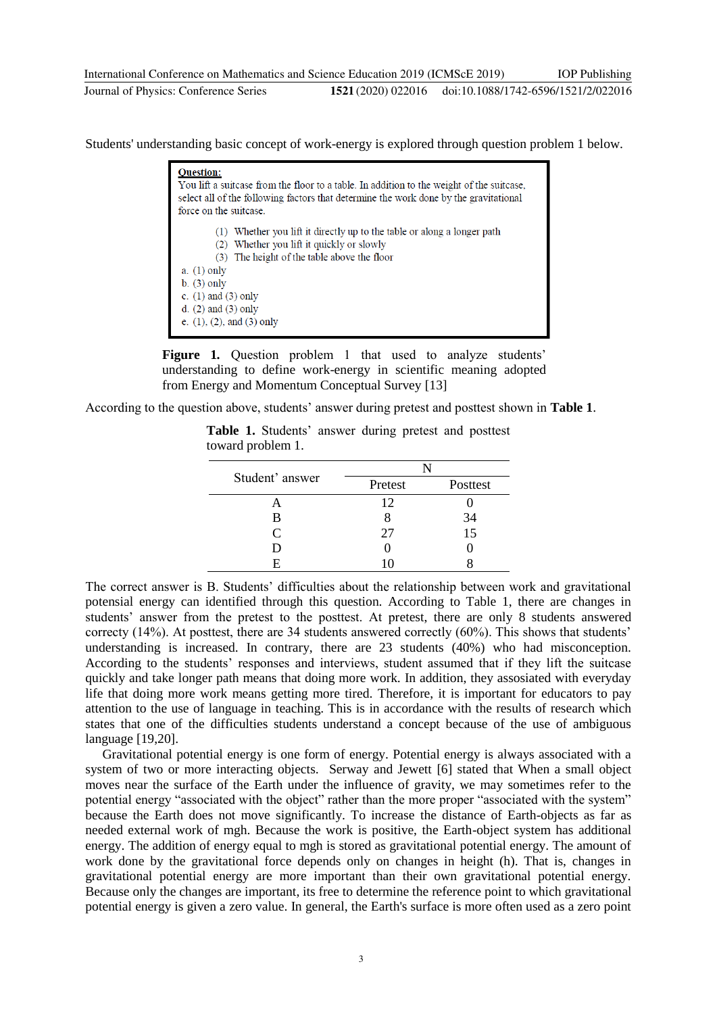Students' understanding basic concept of work-energy is explored through question problem 1 below.

| <b>Question:</b><br>You lift a suitcase from the floor to a table. In addition to the weight of the suitcase,<br>select all of the following factors that determine the work done by the gravitational<br>force on the suitcase.                                                                     |
|------------------------------------------------------------------------------------------------------------------------------------------------------------------------------------------------------------------------------------------------------------------------------------------------------|
| Whether you lift it directly up to the table or along a longer path<br>(1)<br>(2) Whether you lift it quickly or slowly<br>The height of the table above the floor<br>(3)<br>a. $(1)$ only<br>b. (3) only<br>c. $(1)$ and $(3)$ only<br>d. $(2)$ and $(3)$ only<br>e. $(1)$ , $(2)$ , and $(3)$ only |

Figure 1. Ouestion problem 1 that used to analyze students' understanding to define work-energy in scientific meaning adopted from Energy and Momentum Conceptual Survey [13]

According to the question above, students' answer during pretest and posttest shown in **Table 1**.

|                   | Table 1. Students' answer during pretest and posttest |  |  |  |
|-------------------|-------------------------------------------------------|--|--|--|
| toward problem 1. |                                                       |  |  |  |

| Student' answer | Pretest | Posttest |
|-----------------|---------|----------|
|                 | 12      |          |
| в               |         | 34       |
| C               | 27      | 15       |
| ו ו             |         |          |
| F               |         |          |

The correct answer is B. Students' difficulties about the relationship between work and gravitational potensial energy can identified through this question. According to Table 1, there are changes in students' answer from the pretest to the posttest. At pretest, there are only 8 students answered correcty (14%). At posttest, there are 34 students answered correctly (60%). This shows that students' understanding is increased. In contrary, there are 23 students (40%) who had misconception. According to the students' responses and interviews, student assumed that if they lift the suitcase quickly and take longer path means that doing more work. In addition, they assosiated with everyday life that doing more work means getting more tired. Therefore, it is important for educators to pay attention to the use of language in teaching. This is in accordance with the results of research which states that one of the difficulties students understand a concept because of the use of ambiguous language [19,20].

Gravitational potential energy is one form of energy. Potential energy is always associated with a system of two or more interacting objects. Serway and Jewett [6] stated that When a small object moves near the surface of the Earth under the influence of gravity, we may sometimes refer to the potential energy "associated with the object" rather than the more proper "associated with the system" because the Earth does not move significantly. To increase the distance of Earth-objects as far as needed external work of mgh. Because the work is positive, the Earth-object system has additional energy. The addition of energy equal to mgh is stored as gravitational potential energy. The amount of work done by the gravitational force depends only on changes in height (h). That is, changes in gravitational potential energy are more important than their own gravitational potential energy. Because only the changes are important, its free to determine the reference point to which gravitational potential energy is given a zero value. In general, the Earth's surface is more often used as a zero point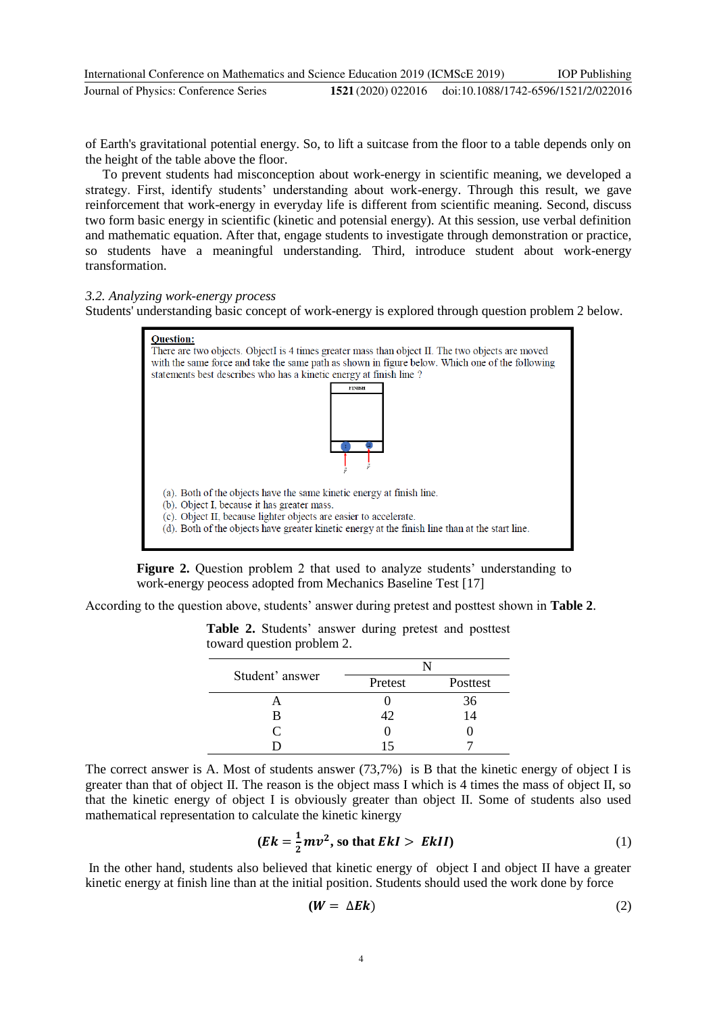| International Conference on Mathematics and Science Education 2019 (ICMScE 2019) |  | <b>IOP</b> Publishing                                  |
|----------------------------------------------------------------------------------|--|--------------------------------------------------------|
| Journal of Physics: Conference Series                                            |  | 1521 (2020) 022016 doi:10.1088/1742-6596/1521/2/022016 |

of Earth's gravitational potential energy. So, to lift a suitcase from the floor to a table depends only on the height of the table above the floor.

To prevent students had misconception about work-energy in scientific meaning, we developed a strategy. First, identify students' understanding about work-energy. Through this result, we gave reinforcement that work-energy in everyday life is different from scientific meaning. Second, discuss two form basic energy in scientific (kinetic and potensial energy). At this session, use verbal definition and mathematic equation. After that, engage students to investigate through demonstration or practice, so students have a meaningful understanding. Third, introduce student about work-energy transformation.

#### *3.2. Analyzing work-energy process*

Students' understanding basic concept of work-energy is explored through question problem 2 below.



**Figure 2.** Question problem 2 that used to analyze students' understanding to work-energy peocess adopted from Mechanics Baseline Test [17]

According to the question above, students' answer during pretest and posttest shown in **Table 2**.

| Student' answer | Pretest | Posttest |
|-----------------|---------|----------|
|                 |         | 36       |
| R               | 42      | 14       |
| $\subset$       |         |          |
|                 |         |          |

**Table 2.** Students' answer during pretest and posttest toward question problem 2.

The correct answer is A. Most of students answer (73,7%) is B that the kinetic energy of object I is greater than that of object II. The reason is the object mass I which is 4 times the mass of object II, so that the kinetic energy of object I is obviously greater than object II. Some of students also used mathematical representation to calculate the kinetic kinergy

$$
(Ek = \frac{1}{2}mv^2, \text{ so that } Ekl > EklI)
$$
 (1)

In the other hand, students also believed that kinetic energy of object I and object II have a greater kinetic energy at finish line than at the initial position. Students should used the work done by force

$$
(W = \Delta E k) \tag{2}
$$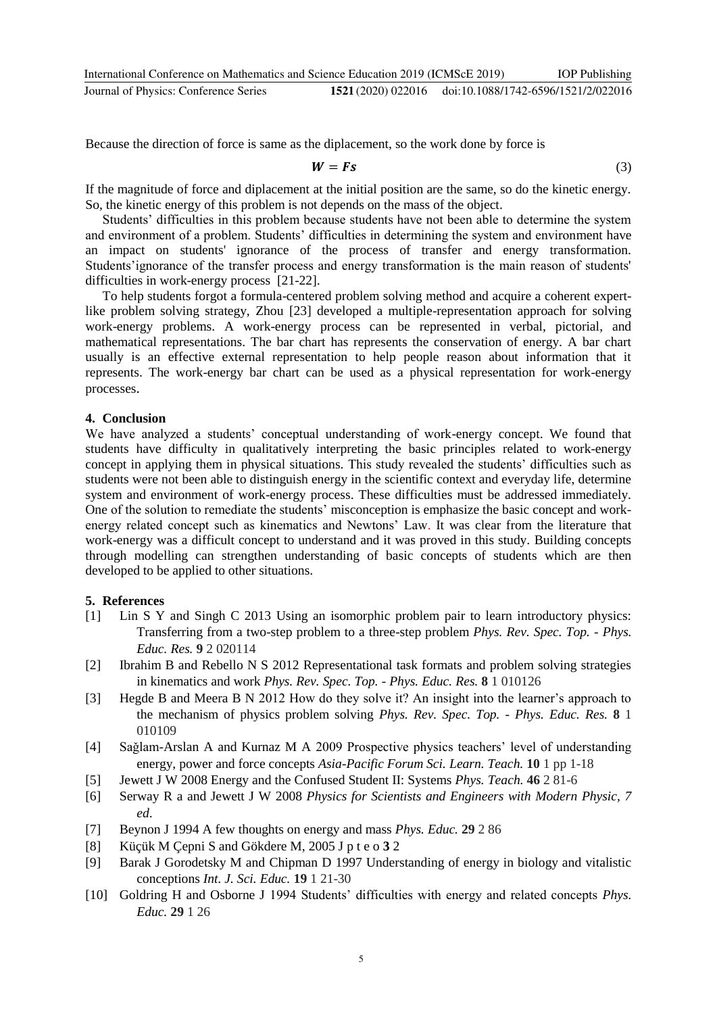| International Conference on Mathematics and Science Education 2019 (ICMScE 2019) |                                                        | <b>IOP</b> Publishing |
|----------------------------------------------------------------------------------|--------------------------------------------------------|-----------------------|
| Journal of Physics: Conference Series                                            | 1521 (2020) 022016 doi:10.1088/1742-6596/1521/2/022016 |                       |

Because the direction of force is same as the diplacement, so the work done by force is

$$
W = Fs \tag{3}
$$

If the magnitude of force and diplacement at the initial position are the same, so do the kinetic energy. So, the kinetic energy of this problem is not depends on the mass of the object.

Students' difficulties in this problem because students have not been able to determine the system and environment of a problem. Students' difficulties in determining the system and environment have an impact on students' ignorance of the process of transfer and energy transformation. Students'ignorance of the transfer process and energy transformation is the main reason of students' difficulties in work-energy process [21-22].

To help students forgot a formula-centered problem solving method and acquire a coherent expertlike problem solving strategy, Zhou [23] developed a multiple-representation approach for solving work-energy problems. A work-energy process can be represented in verbal, pictorial, and mathematical representations. The bar chart has represents the conservation of energy. A bar chart usually is an effective external representation to help people reason about information that it represents. The work-energy bar chart can be used as a physical representation for work-energy processes.

#### **4. Conclusion**

We have analyzed a students' conceptual understanding of work-energy concept. We found that students have difficulty in qualitatively interpreting the basic principles related to work-energy concept in applying them in physical situations. This study revealed the students' difficulties such as students were not been able to distinguish energy in the scientific context and everyday life, determine system and environment of work-energy process. These difficulties must be addressed immediately. One of the solution to remediate the students' misconception is emphasize the basic concept and workenergy related concept such as kinematics and Newtons' Law. It was clear from the literature that work-energy was a difficult concept to understand and it was proved in this study. Building concepts through modelling can strengthen understanding of basic concepts of students which are then developed to be applied to other situations.

## **5. References**

- [1] Lin S Y and Singh C 2013 Using an isomorphic problem pair to learn introductory physics: Transferring from a two-step problem to a three-step problem *Phys. Rev. Spec. Top. - Phys. Educ. Res.* **9** 2 020114
- [2] Ibrahim B and Rebello N S 2012 Representational task formats and problem solving strategies in kinematics and work *Phys. Rev. Spec. Top. - Phys. Educ. Res.* **8** 1 010126
- [3] Hegde B and Meera B N 2012 How do they solve it? An insight into the learner's approach to the mechanism of physics problem solving *Phys. Rev. Spec. Top. - Phys. Educ. Res.* **8** 1 010109
- [4] Saǧlam-Arslan A and Kurnaz M A 2009 Prospective physics teachers' level of understanding energy, power and force concepts *Asia-Pacific Forum Sci. Learn. Teach.* **10** 1 pp 1-18
- [5] Jewett J W 2008 Energy and the Confused Student II: Systems *Phys. Teach.* **46** 2 81-6
- [6] Serway R a and Jewett J W 2008 *Physics for Scientists and Engineers with Modern Physic, 7 ed*.
- [7] Beynon J 1994 A few thoughts on energy and mass *Phys. Educ.* **29** 2 86
- [8] Küçük M Çepni S and Gökdere M, 2005 J p t e o **3** 2
- [9] Barak J Gorodetsky M and Chipman D 1997 Understanding of energy in biology and vitalistic conceptions *Int. J. Sci. Educ.* **19** 1 21-30
- [10] Goldring H and Osborne J 1994 Students' difficulties with energy and related concepts *Phys. Educ.* **29** 1 26